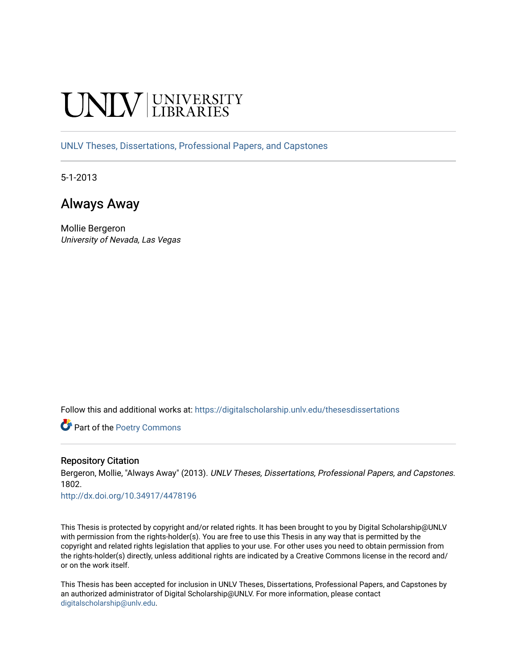# **INIVERSITY**

[UNLV Theses, Dissertations, Professional Papers, and Capstones](https://digitalscholarship.unlv.edu/thesesdissertations)

5-1-2013

## Always Away

Mollie Bergeron University of Nevada, Las Vegas

Follow this and additional works at: [https://digitalscholarship.unlv.edu/thesesdissertations](https://digitalscholarship.unlv.edu/thesesdissertations?utm_source=digitalscholarship.unlv.edu%2Fthesesdissertations%2F1802&utm_medium=PDF&utm_campaign=PDFCoverPages)

Part of the [Poetry Commons](http://network.bepress.com/hgg/discipline/1153?utm_source=digitalscholarship.unlv.edu%2Fthesesdissertations%2F1802&utm_medium=PDF&utm_campaign=PDFCoverPages) 

#### Repository Citation

Bergeron, Mollie, "Always Away" (2013). UNLV Theses, Dissertations, Professional Papers, and Capstones. 1802.

<http://dx.doi.org/10.34917/4478196>

This Thesis is protected by copyright and/or related rights. It has been brought to you by Digital Scholarship@UNLV with permission from the rights-holder(s). You are free to use this Thesis in any way that is permitted by the copyright and related rights legislation that applies to your use. For other uses you need to obtain permission from the rights-holder(s) directly, unless additional rights are indicated by a Creative Commons license in the record and/ or on the work itself.

This Thesis has been accepted for inclusion in UNLV Theses, Dissertations, Professional Papers, and Capstones by an authorized administrator of Digital Scholarship@UNLV. For more information, please contact [digitalscholarship@unlv.edu](mailto:digitalscholarship@unlv.edu).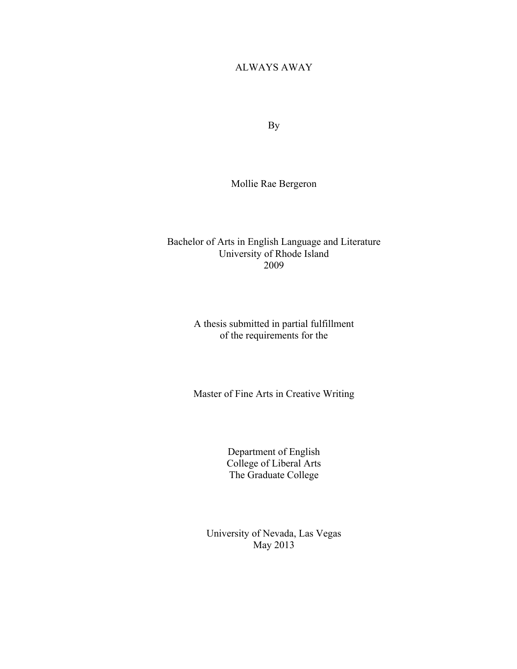#### ALWAYS AWAY

By

Mollie Rae Bergeron

Bachelor of Arts in English Language and Literature University of Rhode Island 2009

> A thesis submitted in partial fulfillment of the requirements for the

> Master of Fine Arts in Creative Writing

Department of English College of Liberal Arts The Graduate College

University of Nevada, Las Vegas May 2013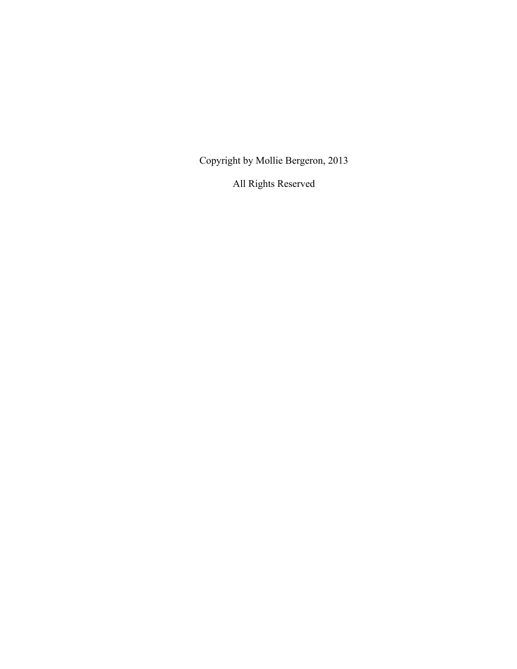Copyright by Mollie Bergeron, 2013

All Rights Reserved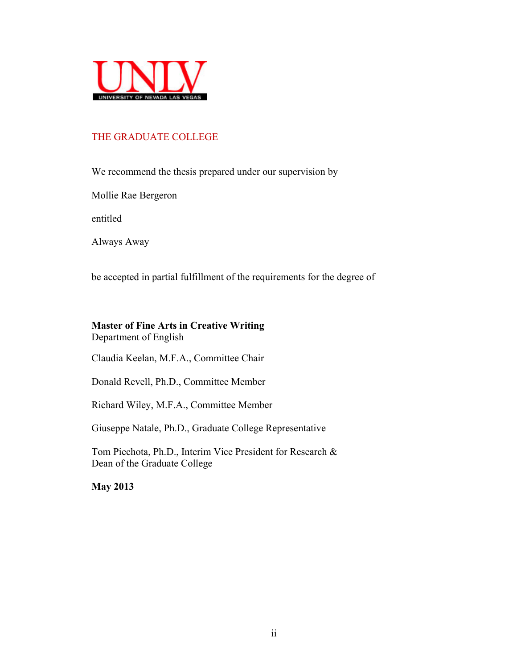

#### THE GRADUATE COLLEGE

We recommend the thesis prepared under our supervision by

Mollie Rae Bergeron

entitled

Always Away

be accepted in partial fulfillment of the requirements for the degree of

## **Master of Fine Arts in Creative Writing**

Department of English

Claudia Keelan, M.F.A., Committee Chair

Donald Revell, Ph.D., Committee Member

Richard Wiley, M.F.A., Committee Member

Giuseppe Natale, Ph.D., Graduate College Representative

Tom Piechota, Ph.D., Interim Vice President for Research & Dean of the Graduate College

**May 2013**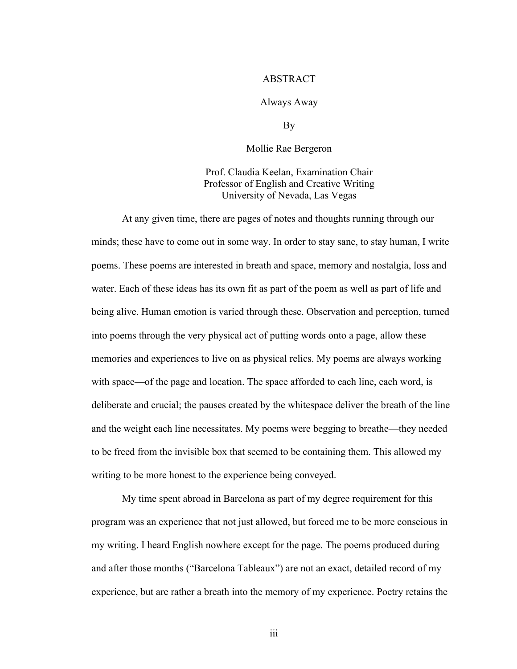#### ABSTRACT

#### Always Away

By

Mollie Rae Bergeron

Prof. Claudia Keelan, Examination Chair Professor of English and Creative Writing University of Nevada, Las Vegas

At any given time, there are pages of notes and thoughts running through our minds; these have to come out in some way. In order to stay sane, to stay human, I write poems. These poems are interested in breath and space, memory and nostalgia, loss and water. Each of these ideas has its own fit as part of the poem as well as part of life and being alive. Human emotion is varied through these. Observation and perception, turned into poems through the very physical act of putting words onto a page, allow these memories and experiences to live on as physical relics. My poems are always working with space—of the page and location. The space afforded to each line, each word, is deliberate and crucial; the pauses created by the whitespace deliver the breath of the line and the weight each line necessitates. My poems were begging to breathe—they needed to be freed from the invisible box that seemed to be containing them. This allowed my writing to be more honest to the experience being conveyed.

My time spent abroad in Barcelona as part of my degree requirement for this program was an experience that not just allowed, but forced me to be more conscious in my writing. I heard English nowhere except for the page. The poems produced during and after those months ("Barcelona Tableaux") are not an exact, detailed record of my experience, but are rather a breath into the memory of my experience. Poetry retains the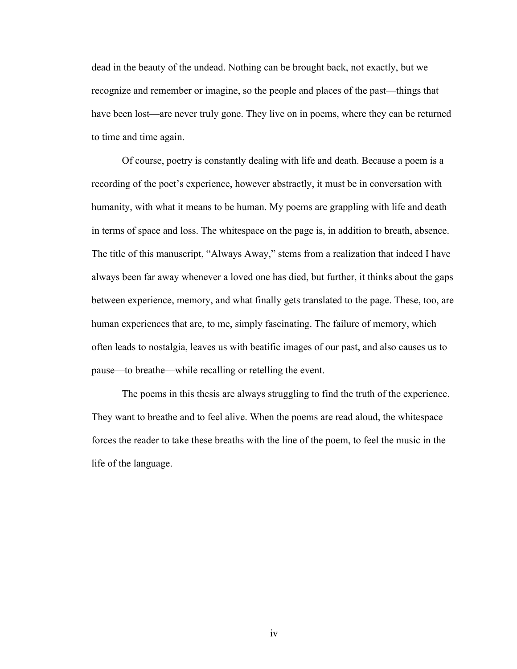dead in the beauty of the undead. Nothing can be brought back, not exactly, but we recognize and remember or imagine, so the people and places of the past—things that have been lost—are never truly gone. They live on in poems, where they can be returned to time and time again.

Of course, poetry is constantly dealing with life and death. Because a poem is a recording of the poet's experience, however abstractly, it must be in conversation with humanity, with what it means to be human. My poems are grappling with life and death in terms of space and loss. The whitespace on the page is, in addition to breath, absence. The title of this manuscript, "Always Away," stems from a realization that indeed I have always been far away whenever a loved one has died, but further, it thinks about the gaps between experience, memory, and what finally gets translated to the page. These, too, are human experiences that are, to me, simply fascinating. The failure of memory, which often leads to nostalgia, leaves us with beatific images of our past, and also causes us to pause—to breathe—while recalling or retelling the event.

The poems in this thesis are always struggling to find the truth of the experience. They want to breathe and to feel alive. When the poems are read aloud, the whitespace forces the reader to take these breaths with the line of the poem, to feel the music in the life of the language.

iv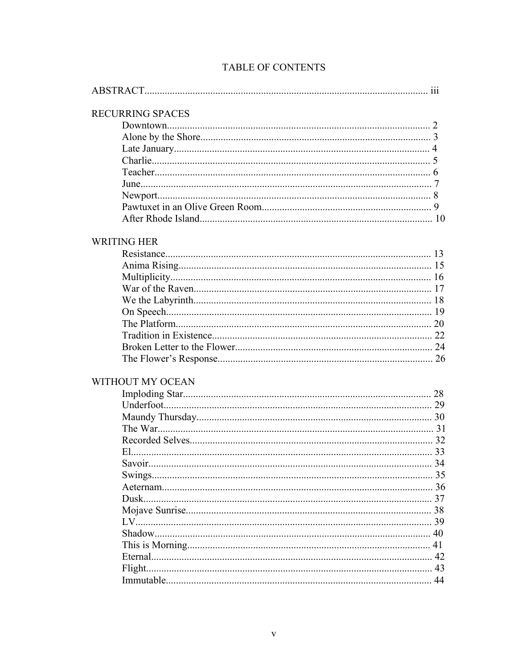| <b>RECURRING SPACES</b> |    |
|-------------------------|----|
|                         |    |
|                         |    |
|                         |    |
|                         |    |
|                         |    |
|                         |    |
|                         |    |
|                         |    |
|                         |    |
| <b>WRITING HER</b>      |    |
|                         |    |
|                         |    |
|                         |    |
|                         |    |
|                         |    |
|                         |    |
|                         |    |
|                         |    |
|                         |    |
|                         |    |
| WITHOUT MY OCEAN        |    |
|                         |    |
|                         |    |
|                         |    |
|                         |    |
|                         |    |
|                         |    |
|                         | 34 |
|                         |    |
|                         |    |
| Dusk                    |    |
|                         | 38 |
|                         |    |
|                         | 40 |
|                         | 41 |
|                         | 42 |
| Flight                  | 43 |
|                         | 44 |
|                         |    |

## TABLE OF CONTENTS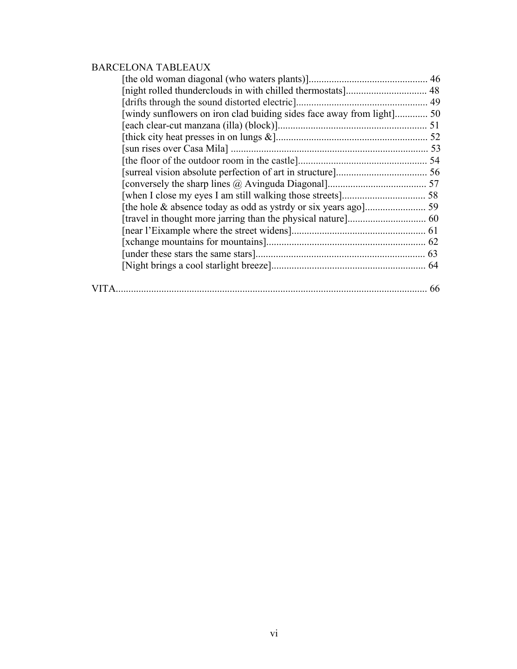## BARCELONA TABLEAUX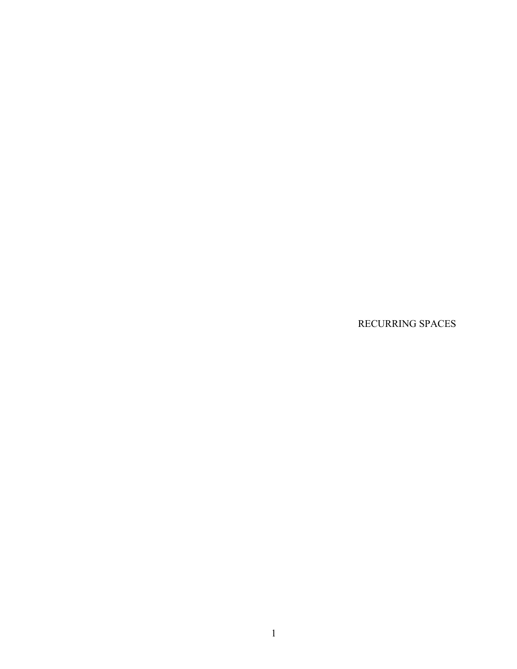RECURRING SPACES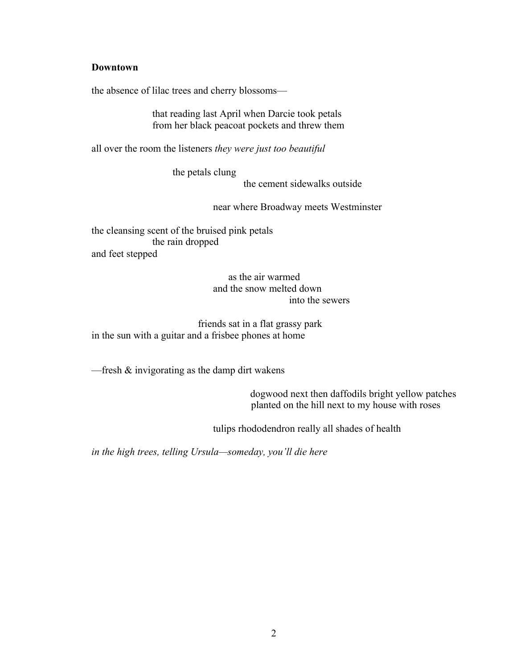#### **Downtown**

the absence of lilac trees and cherry blossoms—

that reading last April when Darcie took petals from her black peacoat pockets and threw them

all over the room the listeners *they were just too beautiful*

the petals clung

the cement sidewalks outside

near where Broadway meets Westminster

the cleansing scent of the bruised pink petals the rain dropped and feet stepped

> as the air warmed and the snow melted down into the sewers

 friends sat in a flat grassy park in the sun with a guitar and a frisbee phones at home

—fresh & invigorating as the damp dirt wakens

dogwood next then daffodils bright yellow patches planted on the hill next to my house with roses

tulips rhododendron really all shades of health

*in the high trees, telling Ursula—someday, you'll die here*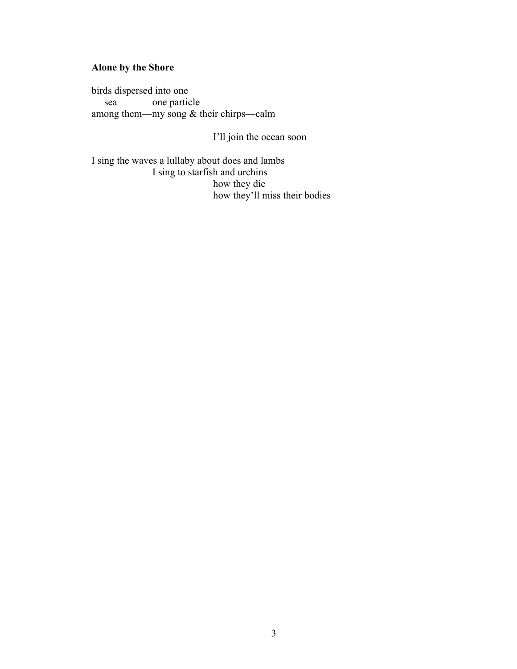## **Alone by the Shore**

birds dispersed into one sea one particle among them—my song & their chirps—calm

I'll join the ocean soon

I sing the waves a lullaby about does and lambs I sing to starfish and urchins how they die how they'll miss their bodies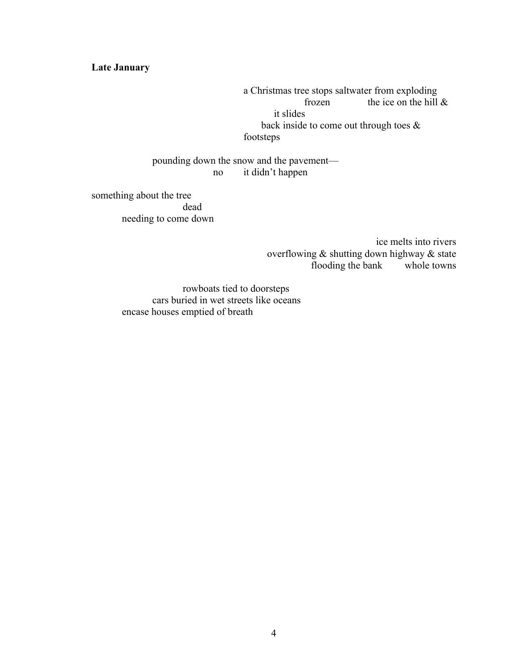#### **Late January**

a Christmas tree stops saltwater from exploding frozen the ice on the hill  $\&$ it slides back inside to come out through toes & footsteps

pounding down the snow and the pavement no it didn't happen

something about the tree dead needing to come down

> ice melts into rivers overflowing & shutting down highway & state flooding the bank whole towns

rowboats tied to doorsteps cars buried in wet streets like oceans encase houses emptied of breath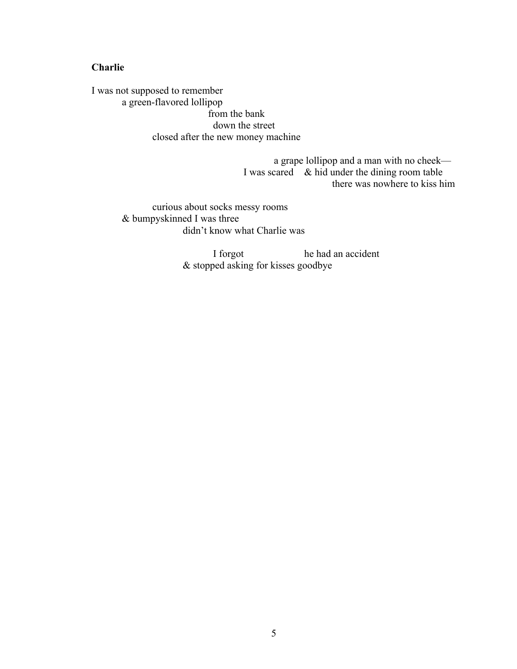#### **Charlie**

I was not supposed to remember a green-flavored lollipop from the bank down the street closed after the new money machine

> a grape lollipop and a man with no cheek— I was scared  $\&$  hid under the dining room table there was nowhere to kiss him

curious about socks messy rooms & bumpyskinned I was three didn't know what Charlie was

> I forgot he had an accident & stopped asking for kisses goodbye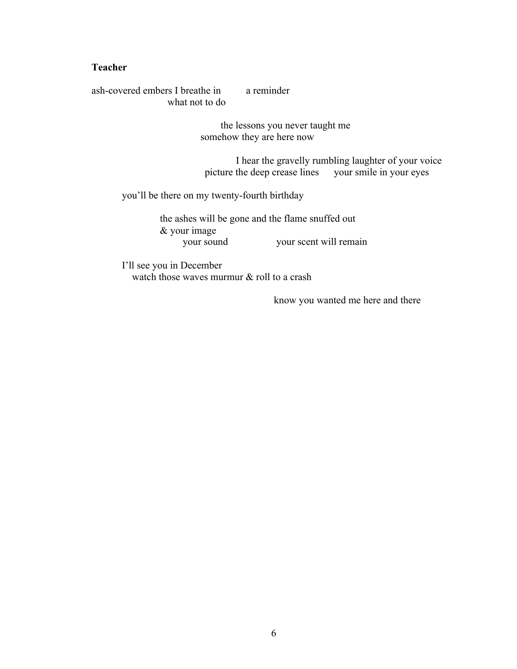#### **Teacher**

ash-covered embers I breathe in a reminder what not to do

> the lessons you never taught me somehow they are here now

I hear the gravelly rumbling laughter of your voice picture the deep crease lines your smile in your eyes

you'll be there on my twenty-fourth birthday

the ashes will be gone and the flame snuffed out & your image your scent will remain

I'll see you in December watch those waves murmur & roll to a crash

know you wanted me here and there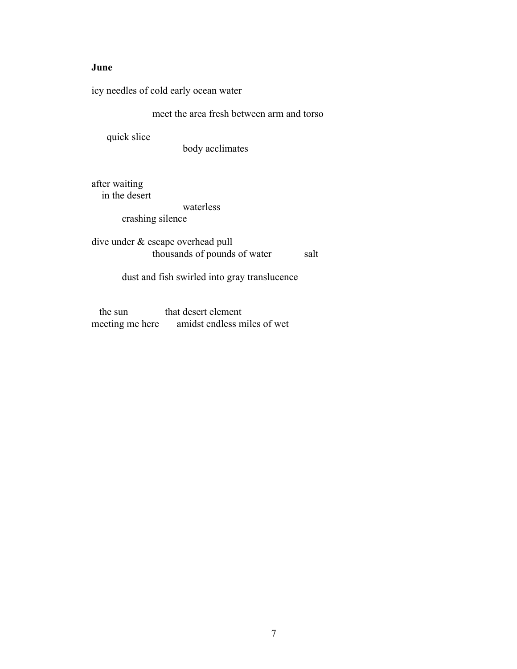#### **June**

icy needles of cold early ocean water

meet the area fresh between arm and torso

quick slice

body acclimates

after waiting in the desert

waterless

crashing silence

dive under & escape overhead pull thousands of pounds of water salt

dust and fish swirled into gray translucence

the sun that desert element<br>meeting me here amidst endless m amidst endless miles of wet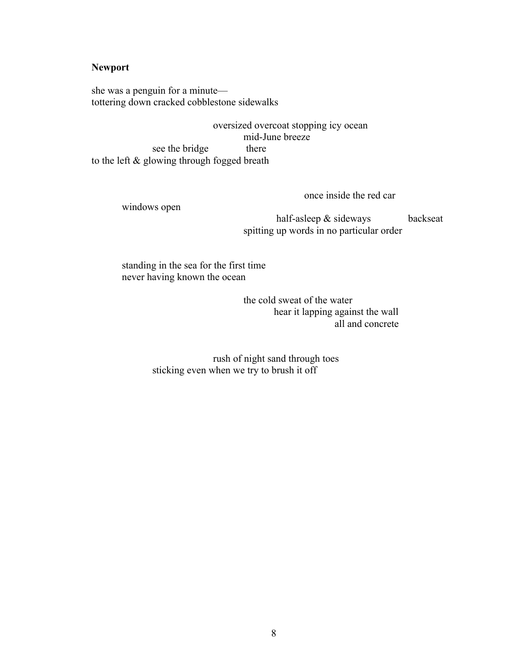#### **Newport**

she was a penguin for a minute tottering down cracked cobblestone sidewalks

oversized overcoat stopping icy ocean mid-June breeze see the bridge there to the left & glowing through fogged breath

windows open

once inside the red car

half-asleep & sideways backseat spitting up words in no particular order

standing in the sea for the first time never having known the ocean

> the cold sweat of the water hear it lapping against the wall all and concrete

rush of night sand through toes sticking even when we try to brush it off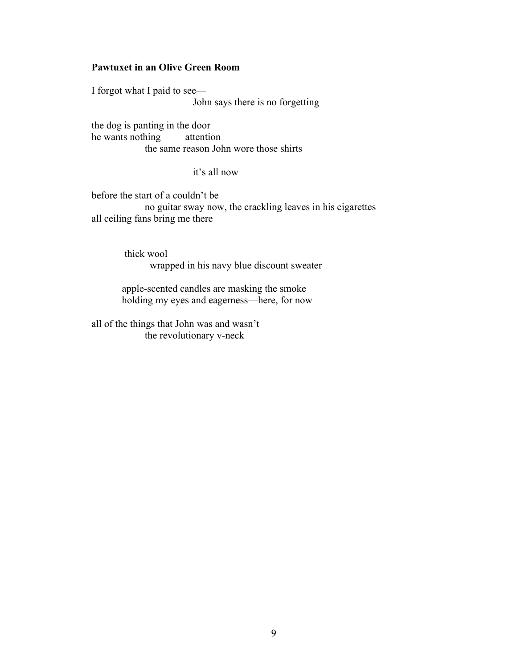#### **Pawtuxet in an Olive Green Room**

I forgot what I paid to see— John says there is no forgetting

the dog is panting in the door he wants nothing attention the same reason John wore those shirts

#### it's all now

before the start of a couldn't be no guitar sway now, the crackling leaves in his cigarettes all ceiling fans bring me there

> thick wool wrapped in his navy blue discount sweater

 apple-scented candles are masking the smoke holding my eyes and eagerness—here, for now

all of the things that John was and wasn't the revolutionary v-neck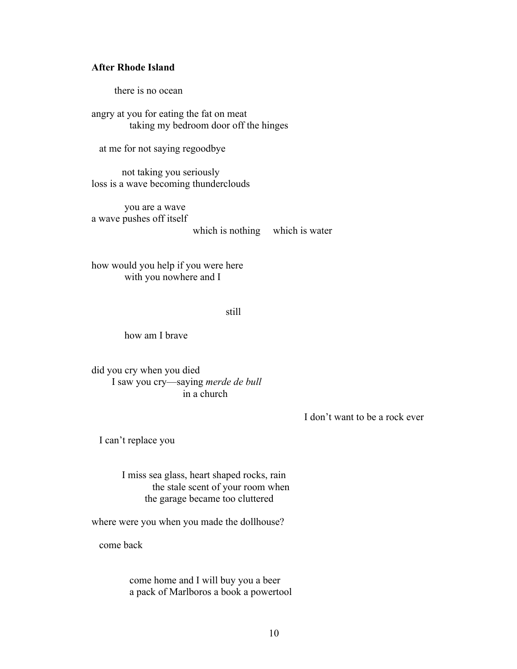#### **After Rhode Island**

there is no ocean

angry at you for eating the fat on meat taking my bedroom door off the hinges

at me for not saying regoodbye

not taking you seriously loss is a wave becoming thunderclouds

you are a wave a wave pushes off itself which is nothing which is water

how would you help if you were here with you nowhere and I

#### still

how am I brave

did you cry when you died I saw you cry—saying *merde de bull* in a church

I don't want to be a rock ever

I can't replace you

I miss sea glass, heart shaped rocks, rain the stale scent of your room when the garage became too cluttered

where were you when you made the dollhouse?

come back

come home and I will buy you a beer a pack of Marlboros a book a powertool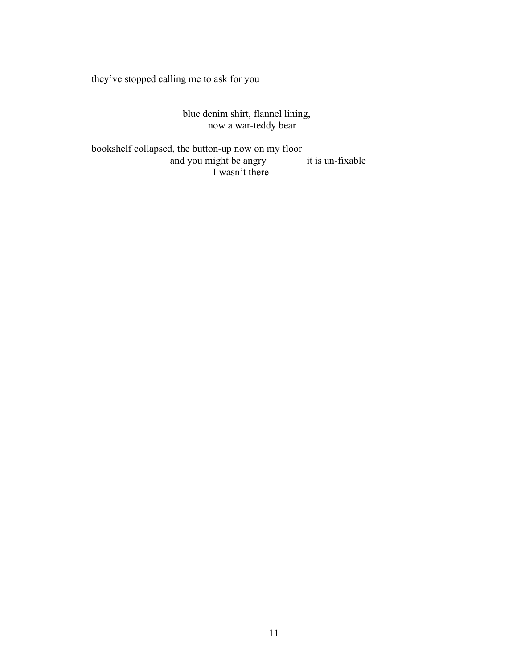they've stopped calling me to ask for you

blue denim shirt, flannel lining, now a war-teddy bear—

bookshelf collapsed, the button-up now on my floor and you might be angry it is un-fixable I wasn't there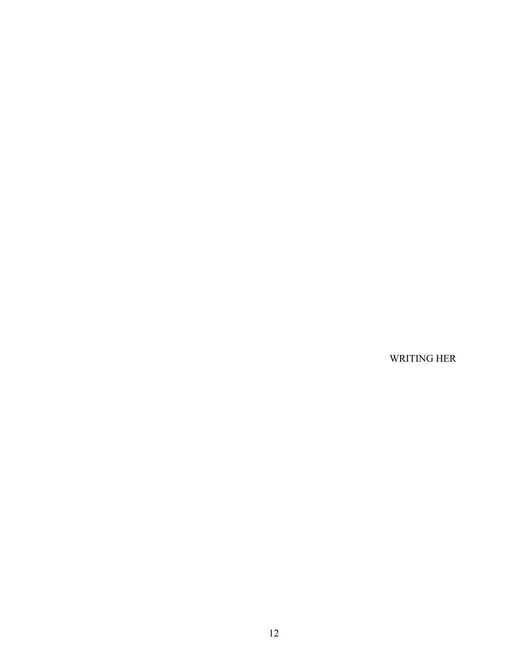WRITING HER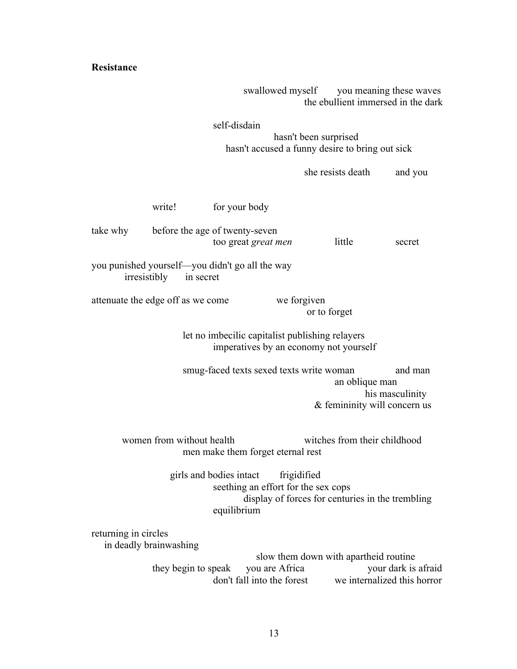**Resistance**

swallowed myself you meaning these waves the ebullient immersed in the dark

self-disdain hasn't been surprised hasn't accused a funny desire to bring out sick

she resists death and you write! for your body take why before the age of twenty-seven too great *great men* little secret you punished yourself—you didn't go all the way irresistibly in secret attenuate the edge off as we come we forgiven or to forget let no imbecilic capitalist publishing relayers imperatives by an economy not yourself smug-faced texts sexed texts write woman and man an oblique man his masculinity & femininity will concern us women from without health witches from their childhood men make them forget eternal rest girls and bodies intact frigidified seething an effort for the sex cops display of forces for centuries in the trembling equilibrium returning in circles in deadly brainwashing slow them down with apartheid routine they begin to speak you are Africa your dark is afraid don't fall into the forest we internalized this horror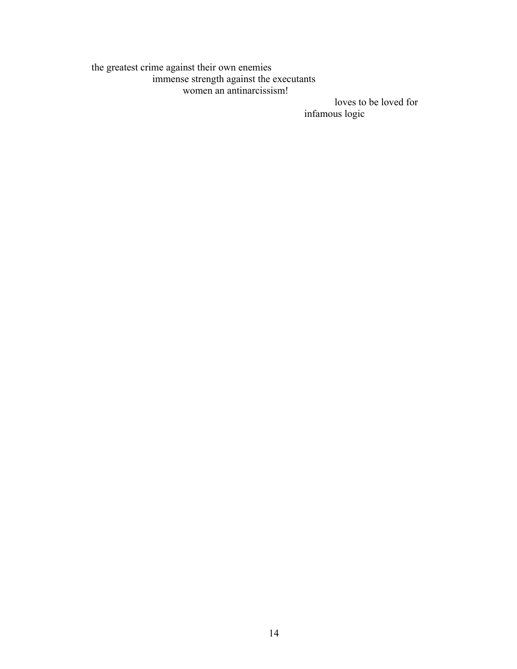## the greatest crime against their own enemies immense strength against the executants women an antinarcissism!

loves to be loved for infamous logic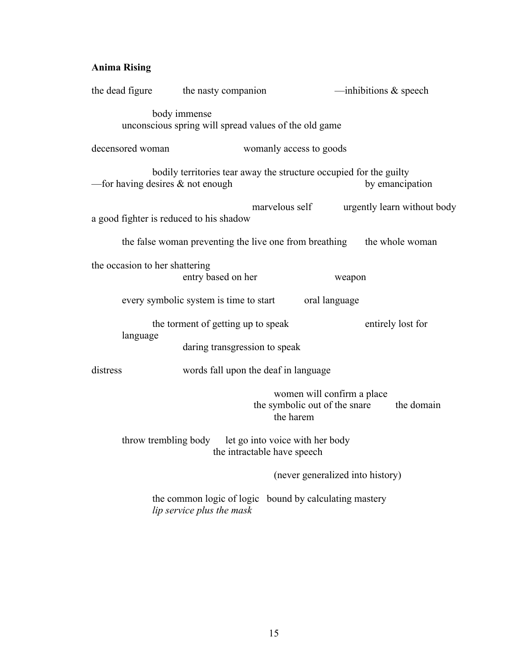## **Anima Rising**

| the dead figure                         | the nasty companion                                                                 |                                                                          | -inhibitions $\&$ speech         |                             |
|-----------------------------------------|-------------------------------------------------------------------------------------|--------------------------------------------------------------------------|----------------------------------|-----------------------------|
|                                         | body immense<br>unconscious spring will spread values of the old game               |                                                                          |                                  |                             |
| decensored woman                        |                                                                                     | womanly access to goods                                                  |                                  |                             |
| —for having desires $\&$ not enough     | bodily territories tear away the structure occupied for the guilty                  |                                                                          |                                  | by emancipation             |
| a good fighter is reduced to his shadow |                                                                                     | marvelous self                                                           |                                  | urgently learn without body |
|                                         | the false woman preventing the live one from breathing the whole woman              |                                                                          |                                  |                             |
| the occasion to her shattering          | entry based on her                                                                  |                                                                          | weapon                           |                             |
|                                         | every symbolic system is time to start                                              | oral language                                                            |                                  |                             |
| language                                | the torment of getting up to speak                                                  |                                                                          |                                  | entirely lost for           |
|                                         | daring transgression to speak                                                       |                                                                          |                                  |                             |
| distress                                | words fall upon the deaf in language                                                |                                                                          |                                  |                             |
|                                         |                                                                                     | women will confirm a place<br>the symbolic out of the snare<br>the harem |                                  | the domain                  |
| throw trembling body                    |                                                                                     | let go into voice with her body<br>the intractable have speech           |                                  |                             |
|                                         |                                                                                     |                                                                          | (never generalized into history) |                             |
|                                         | the common logic of logic bound by calculating mastery<br>lip service plus the mask |                                                                          |                                  |                             |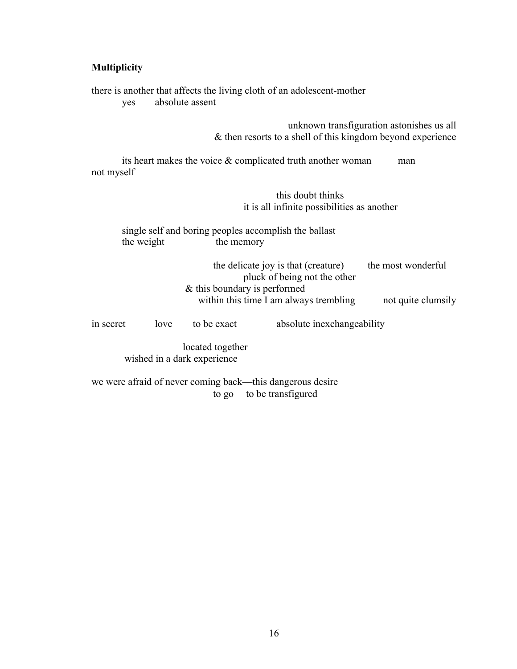#### **Multiplicity**

there is another that affects the living cloth of an adolescent-mother yes absolute assent unknown transfiguration astonishes us all & then resorts to a shell of this kingdom beyond experience its heart makes the voice  $\&$  complicated truth another woman man not myself this doubt thinks it is all infinite possibilities as another single self and boring peoples accomplish the ballast the weight the memory the delicate joy is that (creature) the most wonderful pluck of being not the other & this boundary is performed within this time I am always trembling not quite clumsily in secret love to be exact absolute inexchangeability located together wished in a dark experience we were afraid of never coming back—this dangerous desire

to go to be transfigured

16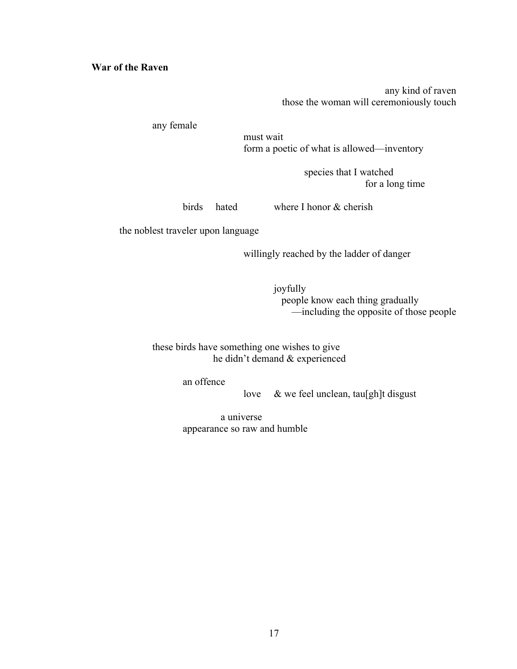#### **War of the Raven**

any kind of raven those the woman will ceremoniously touch

any female

must wait form a poetic of what is allowed—inventory

> species that I watched for a long time

birds hated where I honor & cherish

the noblest traveler upon language

willingly reached by the ladder of danger

joyfully people know each thing gradually —including the opposite of those people

these birds have something one wishes to give he didn't demand & experienced

an offence

love & we feel unclean, tau[gh]t disgust

 a universe appearance so raw and humble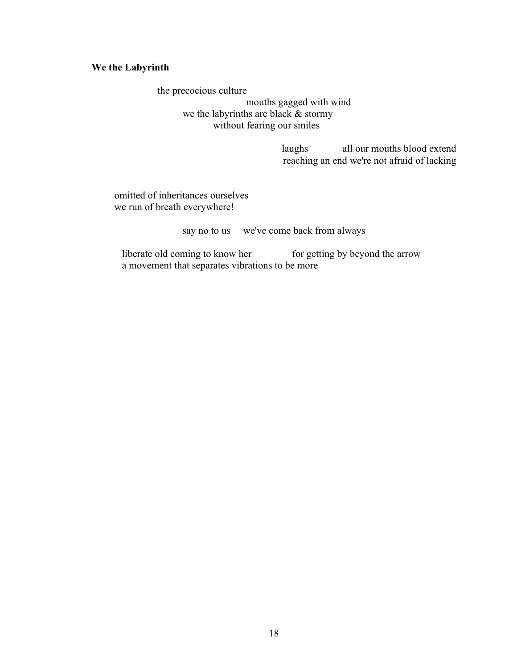### **We the Labyrinth**

 the precocious culture mouths gagged with wind we the labyrinths are black & stormy without fearing our smiles

> laughs all our mouths blood extend reaching an end we're not afraid of lacking

 omitted of inheritances ourselves we run of breath everywhere!

say no to us we've come back from always

liberate old coming to know her for getting by beyond the arrow a movement that separates vibrations to be more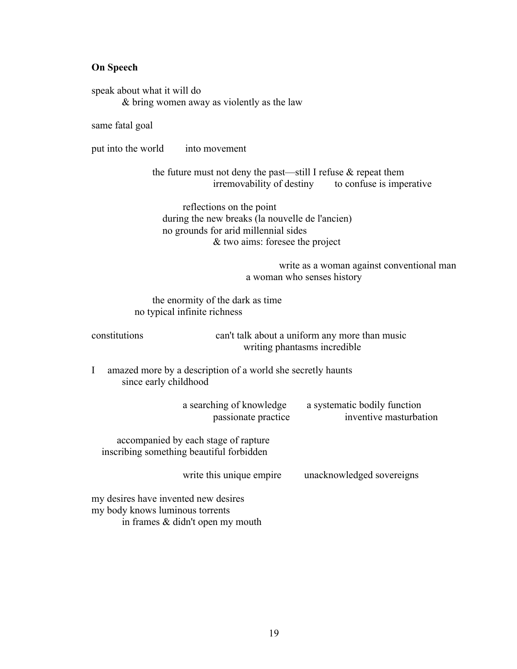#### **On Speech**

speak about what it will do & bring women away as violently as the law

same fatal goal

put into the world into movement

the future must not deny the past—still I refuse & repeat them irremovability of destiny to confuse is imperative

reflections on the point during the new breaks (la nouvelle de l'ancien) no grounds for arid millennial sides & two aims: foresee the project

> write as a woman against conventional man a woman who senses history

the enormity of the dark as time no typical infinite richness

constitutions can't talk about a uniform any more than music writing phantasms incredible

I amazed more by a description of a world she secretly haunts since early childhood

| a searching of knowledge<br>passionate practice                                  | a systematic bodily function<br>inventive masturbation |
|----------------------------------------------------------------------------------|--------------------------------------------------------|
| accompanied by each stage of rapture<br>inscribing something beautiful forbidden |                                                        |
| write this unique empire                                                         | unacknowledged sovereigns                              |
| my desires have invented new desires<br>my body knows luminous torrents          |                                                        |

in frames & didn't open my mouth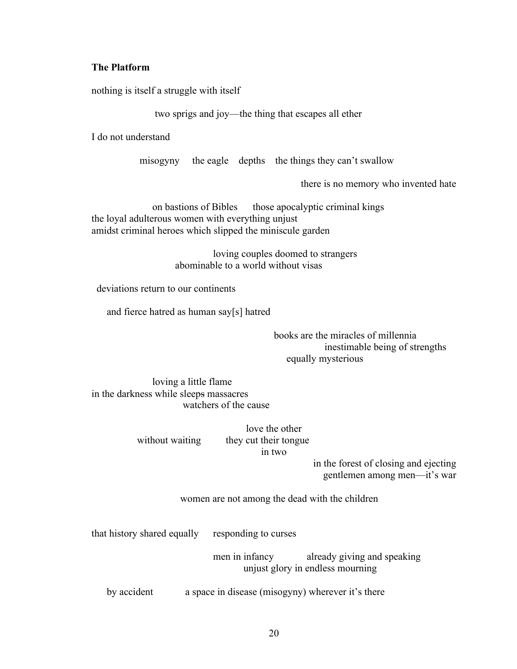#### **The Platform**

nothing is itself a struggle with itself

two sprigs and joy—the thing that escapes all ether

I do not understand

misogyny the eagle depths the things they can't swallow

there is no memory who invented hate

on bastions of Bibles those apocalyptic criminal kings the loyal adulterous women with everything unjust amidst criminal heroes which slipped the miniscule garden

> loving couples doomed to strangers abominable to a world without visas

deviations return to our continents

and fierce hatred as human say[s] hatred

books are the miracles of millennia inestimable being of strengths equally mysterious

loving a little flame in the darkness while sleeps massacres watchers of the cause

> love the other without waiting they cut their tongue in two

> > in the forest of closing and ejecting gentlemen among men—it's war

women are not among the dead with the children

that history shared equally responding to curses

men in infancy already giving and speaking unjust glory in endless mourning

by accident a space in disease (misogyny) wherever it's there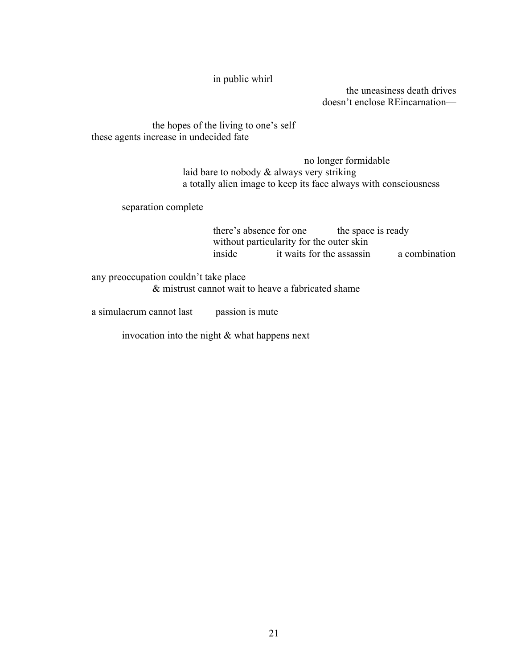in public whirl

 the uneasiness death drives doesn't enclose REincarnation—

the hopes of the living to one's self these agents increase in undecided fate

> no longer formidable laid bare to nobody & always very striking a totally alien image to keep its face always with consciousness

separation complete

there's absence for one the space is ready without particularity for the outer skin inside it waits for the assassin a combination

any preoccupation couldn't take place & mistrust cannot wait to heave a fabricated shame

a simulacrum cannot last passion is mute

invocation into the night & what happens next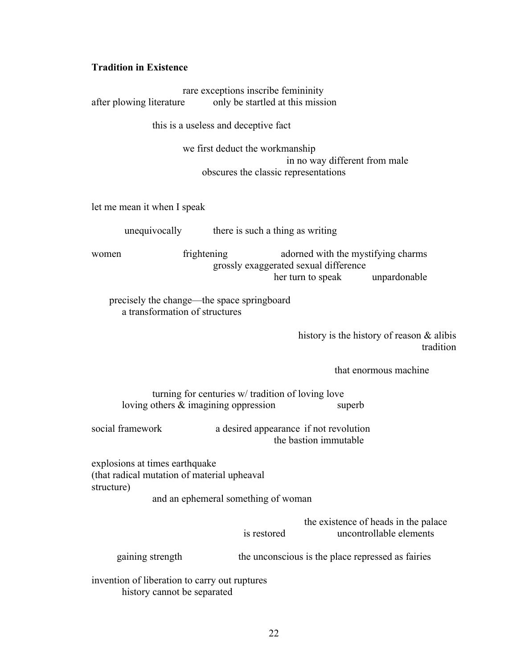## **Tradition in Existence**

| after plowing literature                                                                               | rare exceptions inscribe femininity<br>only be startled at this mission |                                                                                                  |                                                                 |  |  |
|--------------------------------------------------------------------------------------------------------|-------------------------------------------------------------------------|--------------------------------------------------------------------------------------------------|-----------------------------------------------------------------|--|--|
| this is a useless and deceptive fact                                                                   |                                                                         |                                                                                                  |                                                                 |  |  |
|                                                                                                        | we first deduct the workmanship                                         | in no way different from male<br>obscures the classic representations                            |                                                                 |  |  |
| let me mean it when I speak                                                                            |                                                                         |                                                                                                  |                                                                 |  |  |
|                                                                                                        | unequivocally there is such a thing as writing                          |                                                                                                  |                                                                 |  |  |
| women                                                                                                  | frightening                                                             | adorned with the mystifying charms<br>grossly exaggerated sexual difference<br>her turn to speak | unpardonable                                                    |  |  |
| precisely the change—the space springboard<br>a transformation of structures                           |                                                                         |                                                                                                  |                                                                 |  |  |
|                                                                                                        |                                                                         |                                                                                                  | history is the history of reason $\&$ alibis<br>tradition       |  |  |
|                                                                                                        |                                                                         |                                                                                                  | that enormous machine                                           |  |  |
| turning for centuries w/ tradition of loving love<br>loving others $\&$ imagining oppression<br>superb |                                                                         |                                                                                                  |                                                                 |  |  |
| social framework                                                                                       |                                                                         | a desired appearance if not revolution<br>the bastion immutable                                  |                                                                 |  |  |
| explosions at times earthquake<br>(that radical mutation of material upheaval<br>structure)            |                                                                         |                                                                                                  |                                                                 |  |  |
| and an ephemeral something of woman                                                                    |                                                                         |                                                                                                  |                                                                 |  |  |
|                                                                                                        | is restored                                                             |                                                                                                  | the existence of heads in the palace<br>uncontrollable elements |  |  |
| gaining strength                                                                                       |                                                                         | the unconscious is the place repressed as fairies                                                |                                                                 |  |  |
|                                                                                                        | invention of liberation to carry out ruptures                           |                                                                                                  |                                                                 |  |  |

history cannot be separated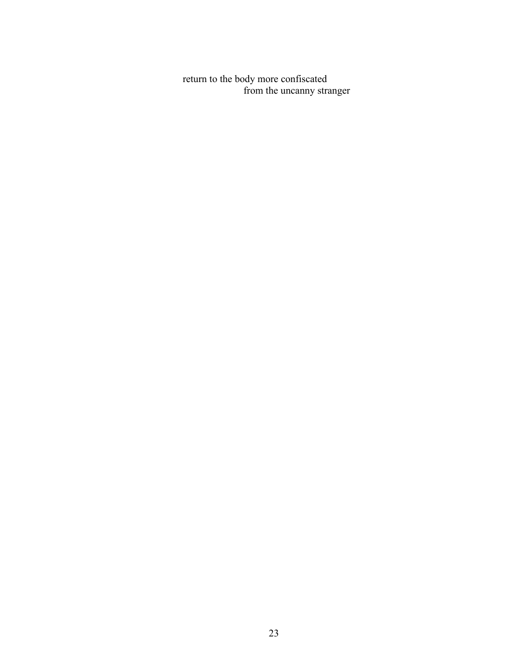return to the body more confiscated from the uncanny stranger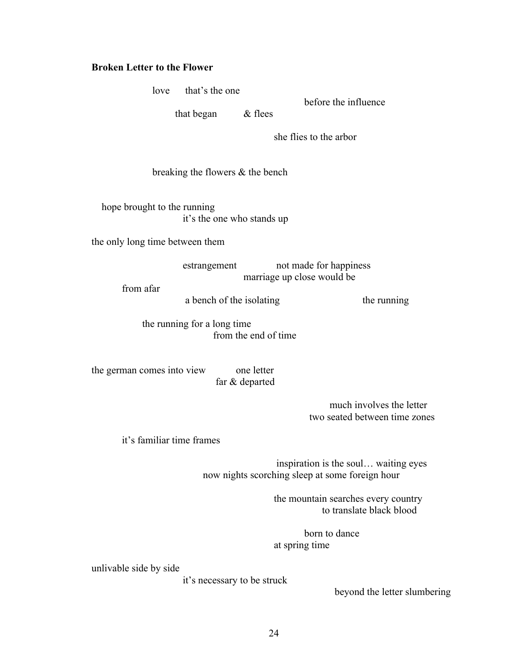#### **Broken Letter to the Flower**

love that's the one before the influence that began & flees she flies to the arbor breaking the flowers & the bench hope brought to the running it's the one who stands up the only long time between them estrangement not made for happiness marriage up close would be from afar a bench of the isolating the running the running for a long time from the end of time the german comes into view one letter far & departed much involves the letter two seated between time zones it's familiar time frames inspiration is the soul… waiting eyes now nights scorching sleep at some foreign hour the mountain searches every country to translate black blood born to dance at spring time

unlivable side by side

it's necessary to be struck

beyond the letter slumbering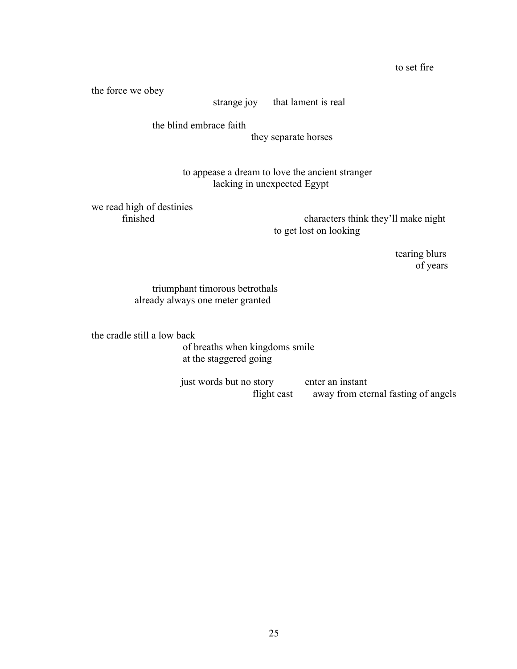the force we obey

strange joy that lament is real

the blind embrace faith

they separate horses

to appease a dream to love the ancient stranger lacking in unexpected Egypt

we read high of destinies

characters think they'll make night to get lost on looking

> tearing blurs of years

triumphant timorous betrothals already always one meter granted

the cradle still a low back

of breaths when kingdoms smile at the staggered going

just words but no story enter an instant flight east away from eternal fasting of angels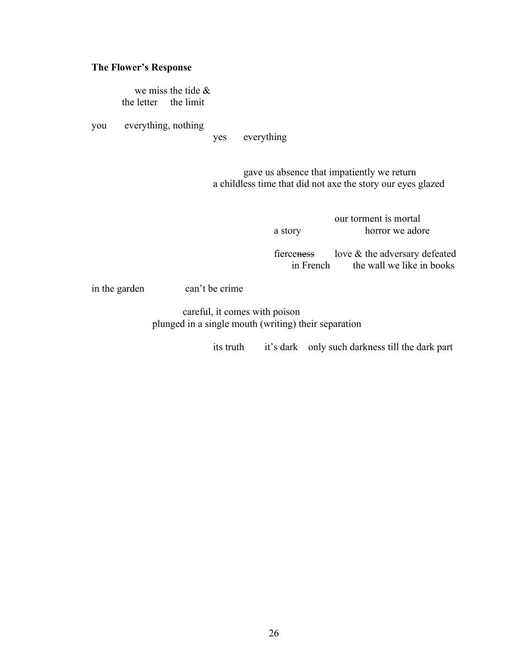#### **The Flower's Response**

 we miss the tide & the letter the limit

you everything, nothing

yes everything

gave us absence that impatiently we return a childless time that did not axe the story our eyes glazed

> our torment is mortal a story horror we adore

fierceness love & the adversary defeated in French the wall we like in books

in the garden can't be crime

careful, it comes with poison plunged in a single mouth (writing) their separation

its truth it's dark only such darkness till the dark part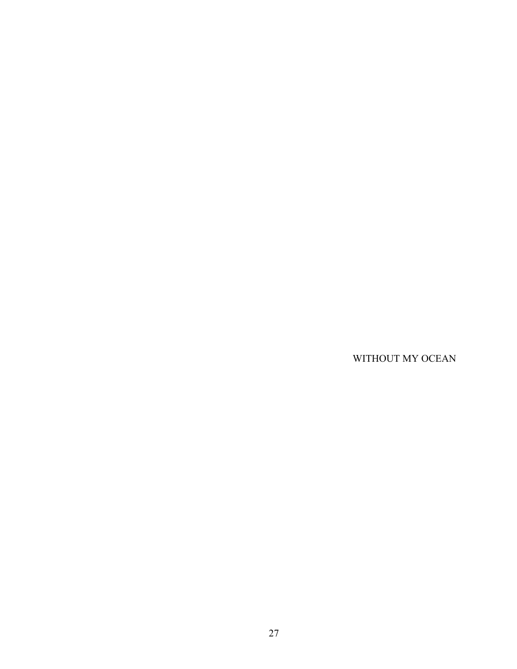WITHOUT MY OCEAN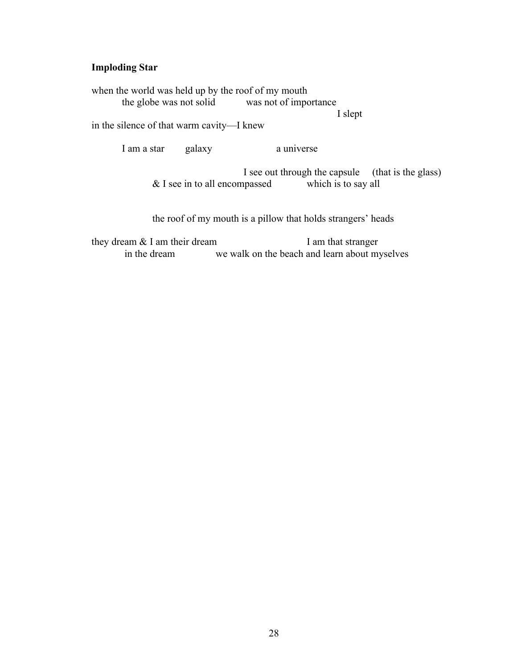#### **Imploding Star**

when the world was held up by the roof of my mouth the globe was not solid was not of importance

I slept

in the silence of that warm cavity—I knew

I am a star galaxy a universe

I see out through the capsule (that is the glass)<br>npassed which is to say all  $&$  I see in to all encompassed

the roof of my mouth is a pillow that holds strangers' heads

they dream & I am their dream I am that stranger in the dream we walk on the beach and learn about myselves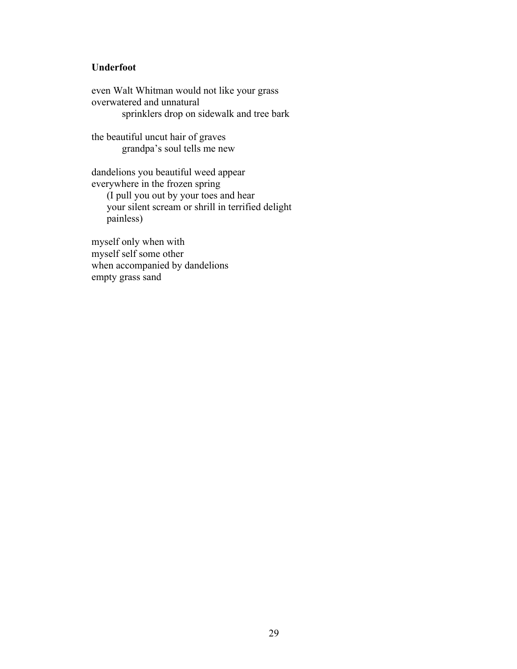### **Underfoot**

even Walt Whitman would not like your grass overwatered and unnatural sprinklers drop on sidewalk and tree bark

the beautiful uncut hair of graves grandpa's soul tells me new

dandelions you beautiful weed appear everywhere in the frozen spring (I pull you out by your toes and hear your silent scream or shrill in terrified delight painless)

myself only when with myself self some other when accompanied by dandelions empty grass sand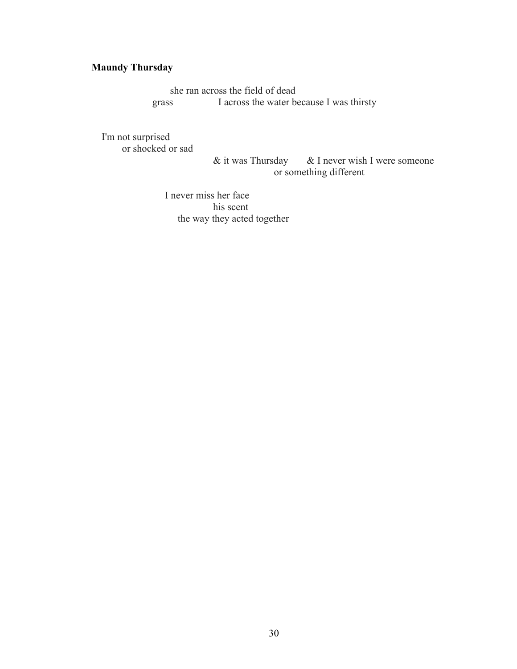# **Maundy Thursday**

she ran across the field of dead grass I across the water because I was thirsty

I'm not surprised or shocked or sad

& it was Thursday & I never wish I were someone or something different

I never miss her face his scent the way they acted together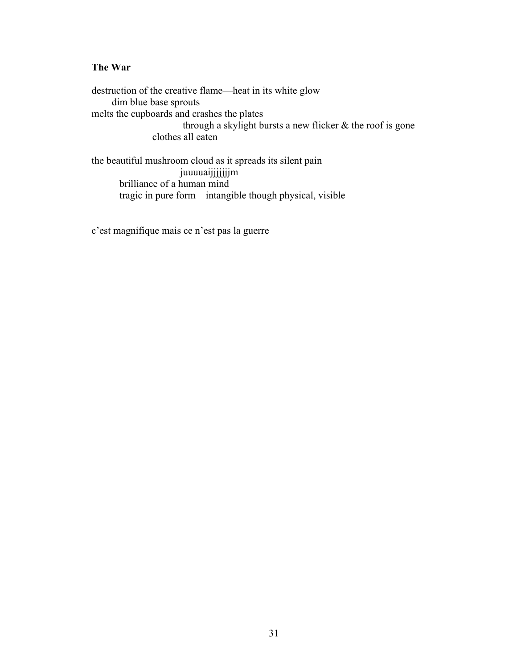### **The War**

destruction of the creative flame—heat in its white glow dim blue base sprouts melts the cupboards and crashes the plates through a skylight bursts a new flicker  $\&$  the roof is gone clothes all eaten

the beautiful mushroom cloud as it spreads its silent pain juuuuaijjjjjjjjjjm brilliance of a human mind tragic in pure form—intangible though physical, visible

c'est magnifique mais ce n'est pas la guerre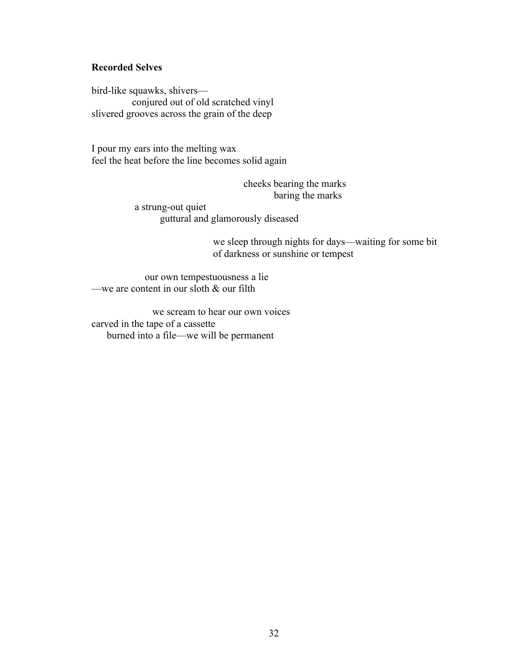### **Recorded Selves**

bird-like squawks, shivers conjured out of old scratched vinyl slivered grooves across the grain of the deep

I pour my ears into the melting wax feel the heat before the line becomes solid again

> cheeks bearing the marks baring the marks

 a strung-out quiet guttural and glamorously diseased

> we sleep through nights for days—waiting for some bit of darkness or sunshine or tempest

 our own tempestuousness a lie —we are content in our sloth  $&$  our filth

we scream to hear our own voices carved in the tape of a cassette burned into a file—we will be permanent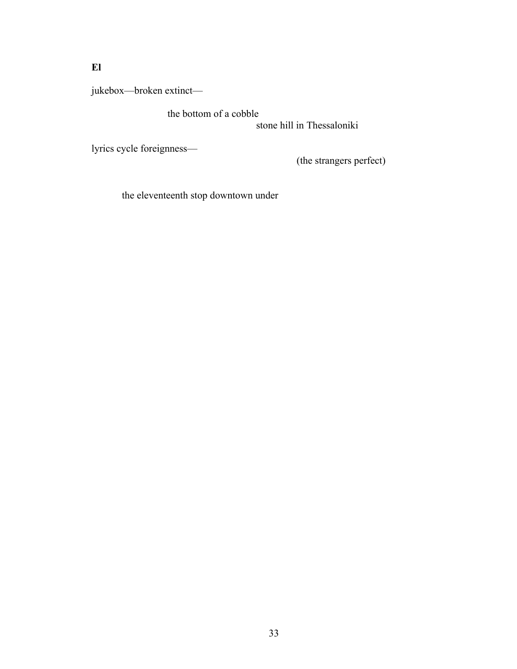# **El**

jukebox—broken extinct—

the bottom of a cobble

stone hill in Thessaloniki

lyrics cycle foreignness—

(the strangers perfect)

the eleventeenth stop downtown under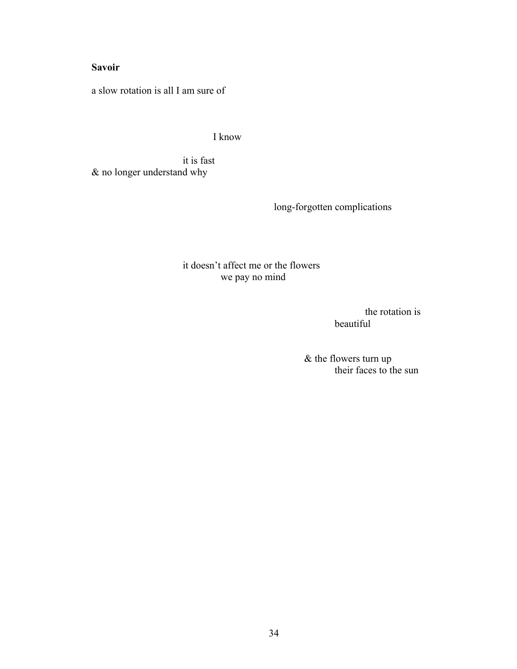## **Savoir**

a slow rotation is all I am sure of

I know

it is fast & no longer understand why

long-forgotten complications

it doesn't affect me or the flowers we pay no mind

> the rotation is beautiful

& the flowers turn up their faces to the sun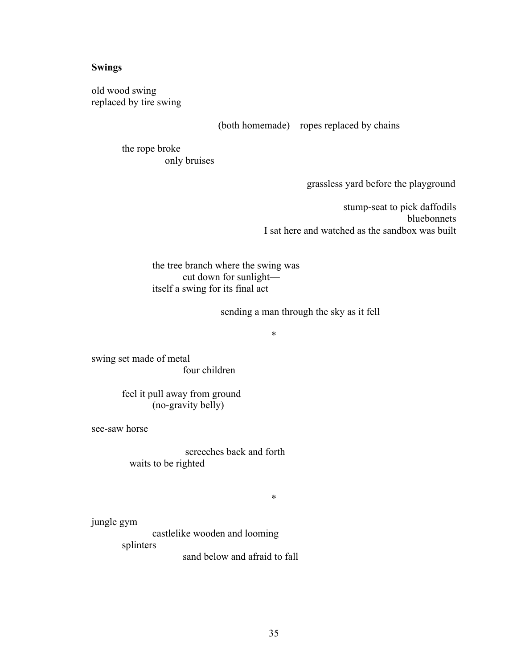#### **Swings**

old wood swing replaced by tire swing

(both homemade)—ropes replaced by chains

the rope broke only bruises

grassless yard before the playground

stump-seat to pick daffodils bluebonnets I sat here and watched as the sandbox was built

the tree branch where the swing was cut down for sunlight itself a swing for its final act

sending a man through the sky as it fell

\*

swing set made of metal four children

> feel it pull away from ground (no-gravity belly)

see-saw horse

screeches back and forth waits to be righted

\*

jungle gym

castlelike wooden and looming splinters sand below and afraid to fall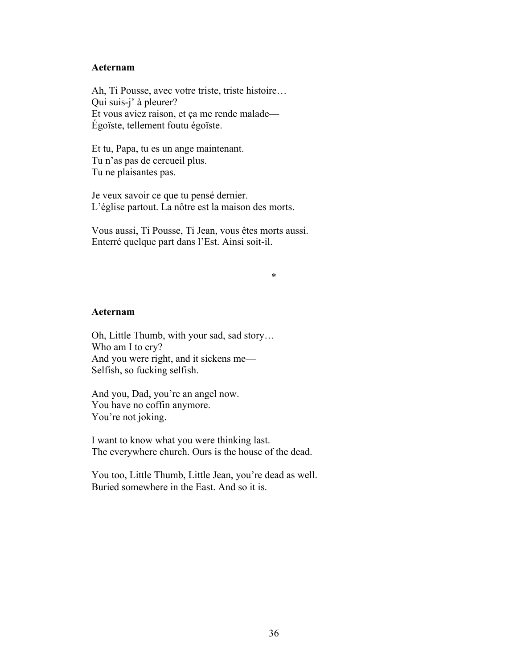#### **Aeternam**

Ah, Ti Pousse, avec votre triste, triste histoire… Qui suis-j' à pleurer? Et vous aviez raison, et ça me rende malade— Égoïste, tellement foutu égoïste.

Et tu, Papa, tu es un ange maintenant. Tu n'as pas de cercueil plus. Tu ne plaisantes pas.

Je veux savoir ce que tu pensé dernier. L'église partout. La nôtre est la maison des morts.

Vous aussi, Ti Pousse, Ti Jean, vous êtes morts aussi. Enterré quelque part dans l'Est. Ainsi soit-il.

\*

#### **Aeternam**

Oh, Little Thumb, with your sad, sad story… Who am I to cry? And you were right, and it sickens me— Selfish, so fucking selfish.

And you, Dad, you're an angel now. You have no coffin anymore. You're not joking.

I want to know what you were thinking last. The everywhere church. Ours is the house of the dead.

You too, Little Thumb, Little Jean, you're dead as well. Buried somewhere in the East. And so it is.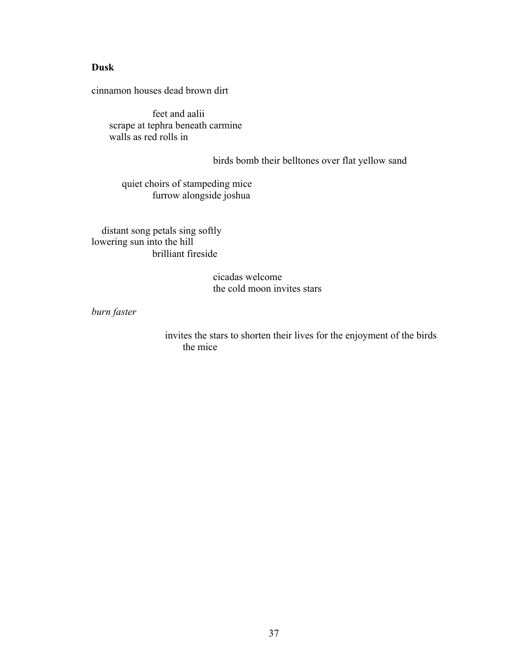#### **Dusk**

cinnamon houses dead brown dirt

feet and aalii scrape at tephra beneath carmine walls as red rolls in

birds bomb their belltones over flat yellow sand

quiet choirs of stampeding mice furrow alongside joshua

 distant song petals sing softly lowering sun into the hill brilliant fireside

> cicadas welcome the cold moon invites stars

*burn faster*

 invites the stars to shorten their lives for the enjoyment of the birds the mice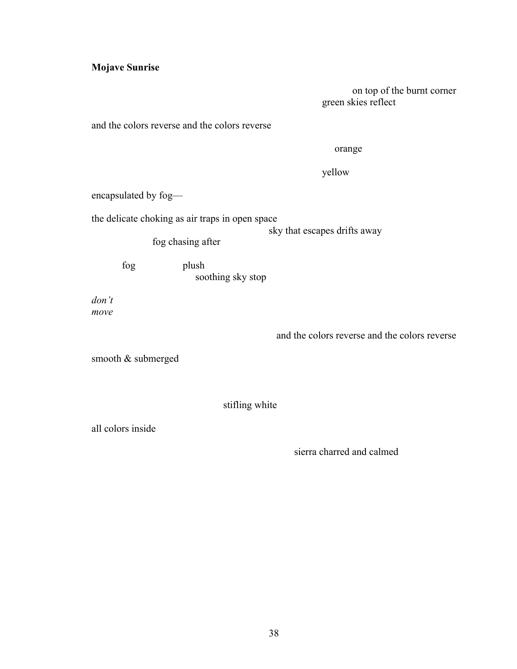## **Mojave Sunrise**

on top of the burnt corner green skies reflect

and the colors reverse and the colors reverse

orange

yellow

encapsulated by fog—

the delicate choking as air traps in open space

sky that escapes drifts away

fog chasing after

fog plush soothing sky stop

*don't move*

and the colors reverse and the colors reverse

smooth & submerged

stifling white

all colors inside

sierra charred and calmed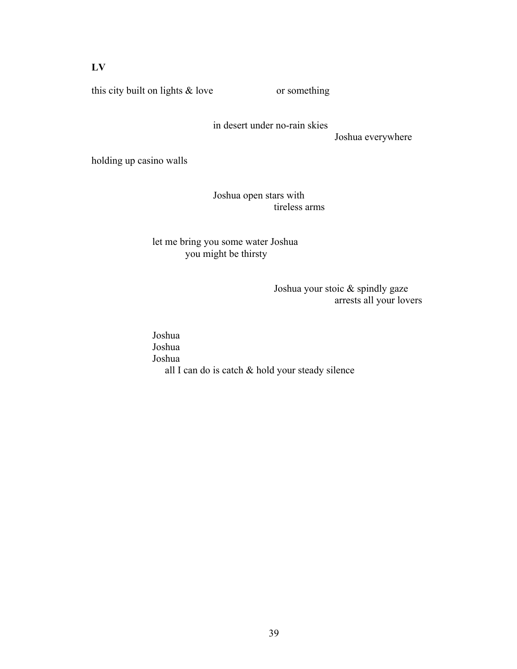### **LV**

this city built on lights  $\&$  love or something

in desert under no-rain skies

Joshua everywhere

holding up casino walls

Joshua open stars with tireless arms

#### let me bring you some water Joshua you might be thirsty

Joshua your stoic & spindly gaze arrests all your lovers

Joshua Joshua Joshua all I can do is catch & hold your steady silence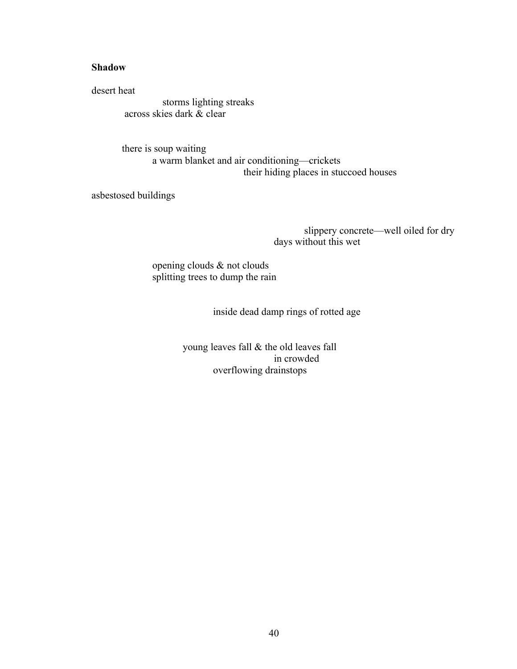#### **Shadow**

desert heat

 storms lighting streaks across skies dark  $\alpha$  clear

there is soup waiting a warm blanket and air conditioning—crickets their hiding places in stuccoed houses

asbestosed buildings

slippery concrete—well oiled for dry days without this wet

opening clouds & not clouds splitting trees to dump the rain

inside dead damp rings of rotted age

young leaves fall & the old leaves fall in crowded overflowing drainstops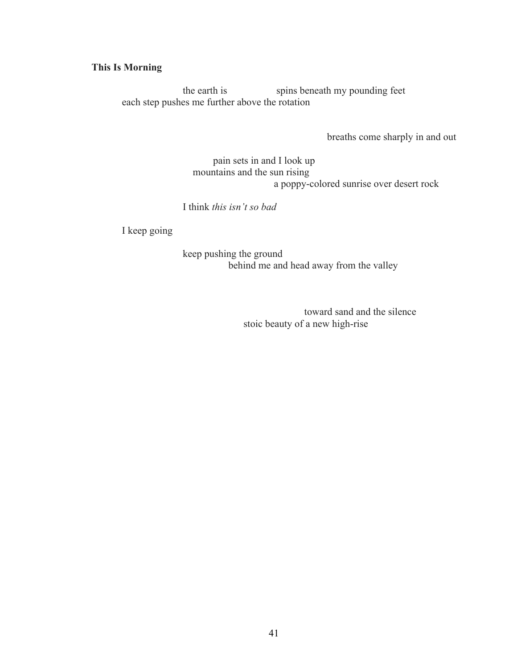### **This Is Morning**

the earth is spins beneath my pounding feet each step pushes me further above the rotation

breaths come sharply in and out

pain sets in and I look up mountains and the sun rising a poppy-colored sunrise over desert rock

I think *this isn't so bad*

I keep going

keep pushing the ground behind me and head away from the valley

> toward sand and the silence stoic beauty of a new high-rise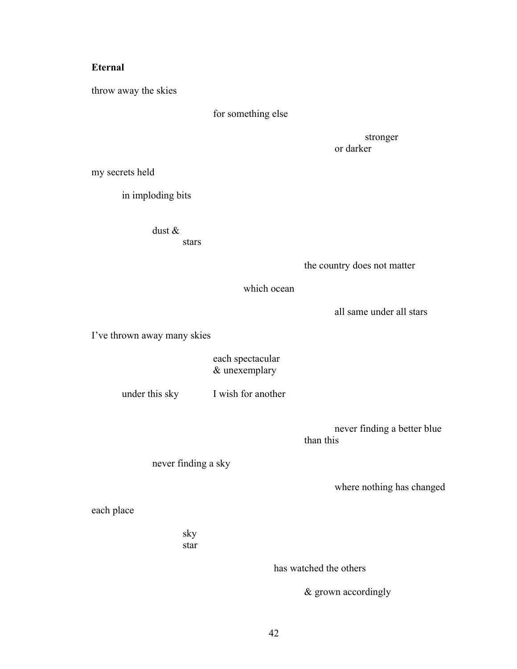## **Eternal**

throw away the skies

for something else

stronger or darker

my secrets held

in imploding bits

dust &

stars

the country does not matter

which ocean

all same under all stars

I've thrown away many skies

each spectacular & unexemplary

under this sky I wish for another

never finding a better blue than this

never finding a sky

where nothing has changed

each place

sky star

has watched the others

& grown accordingly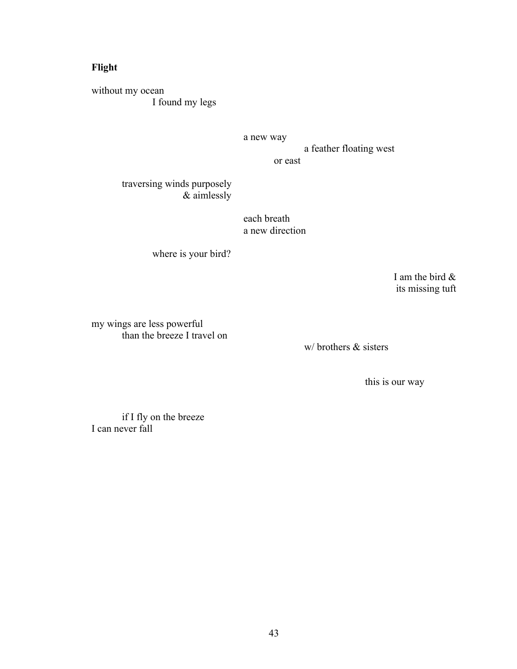## **Flight**

without my ocean I found my legs

a new way

a feather floating west

or east

#### traversing winds purposely & aimlessly

each breath a new direction

where is your bird?

I am the bird & its missing tuft

my wings are less powerful than the breeze I travel on

w/ brothers & sisters

this is our way

if I fly on the breeze I can never fall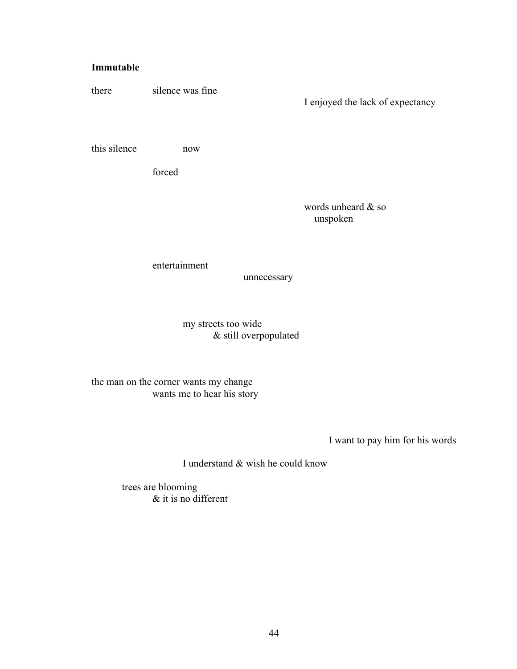#### **Immutable**

there silence was fine

I enjoyed the lack of expectancy

this silence now

forced

words unheard & so unspoken

entertainment

unnecessary

my streets too wide & still overpopulated

the man on the corner wants my change wants me to hear his story

I want to pay him for his words

I understand & wish he could know

trees are blooming & it is no different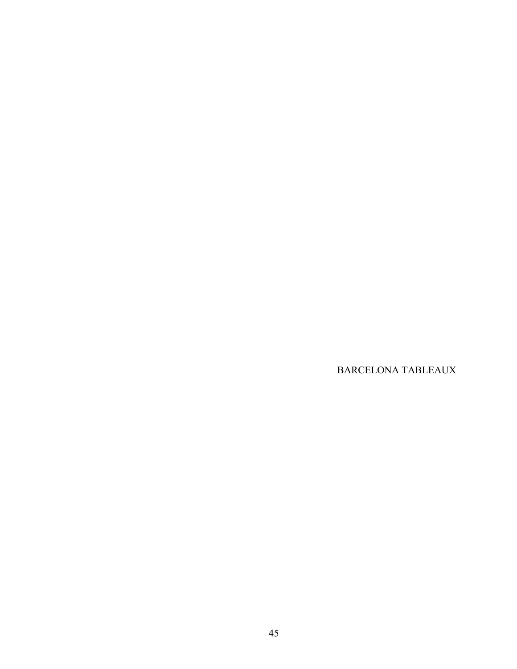BARCELONA TABLEAUX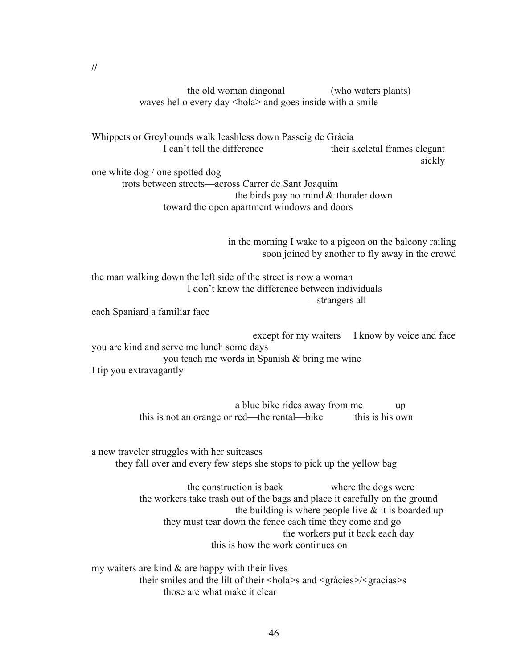the old woman diagonal (who waters plants) waves hello every day <hola> and goes inside with a smile

Whippets or Greyhounds walk leashless down Passeig de Gràcia I can't tell the difference their skeletal frames elegant sickly one white dog / one spotted dog

trots between streets—across Carrer de Sant Joaquim the birds pay no mind & thunder down toward the open apartment windows and doors

> in the morning I wake to a pigeon on the balcony railing soon joined by another to fly away in the crowd

the man walking down the left side of the street is now a woman I don't know the difference between individuals —strangers all

each Spaniard a familiar face

except for my waiters I know by voice and face you are kind and serve me lunch some days you teach me words in Spanish & bring me wine I tip you extravagantly

> a blue bike rides away from me up this is not an orange or red—the rental—bike this is his own

a new traveler struggles with her suitcases they fall over and every few steps she stops to pick up the yellow bag

> the construction is back where the dogs were the workers take trash out of the bags and place it carefully on the ground the building is where people live  $\&$  it is boarded up they must tear down the fence each time they come and go the workers put it back each day this is how the work continues on

my waiters are kind  $\&$  are happy with their lives their smiles and the lilt of their <hola>s and <gràcies>/<gracias>s those are what make it clear

**//**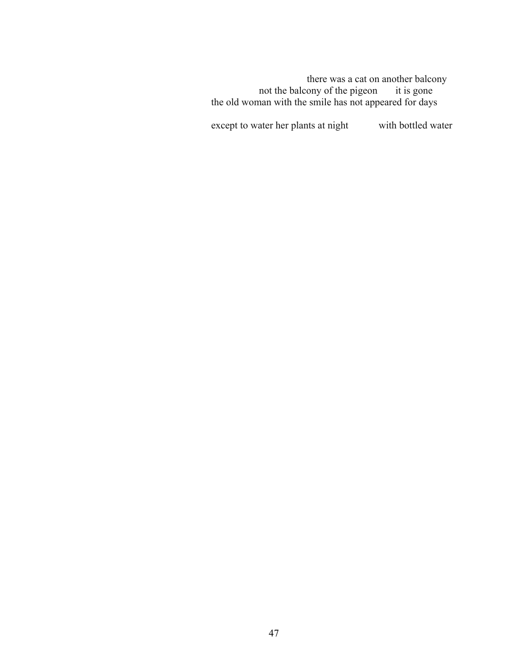there was a cat on another balcony not the balcony of the pigeon it is gone the old woman with the smile has not appeared for days

except to water her plants at night with bottled water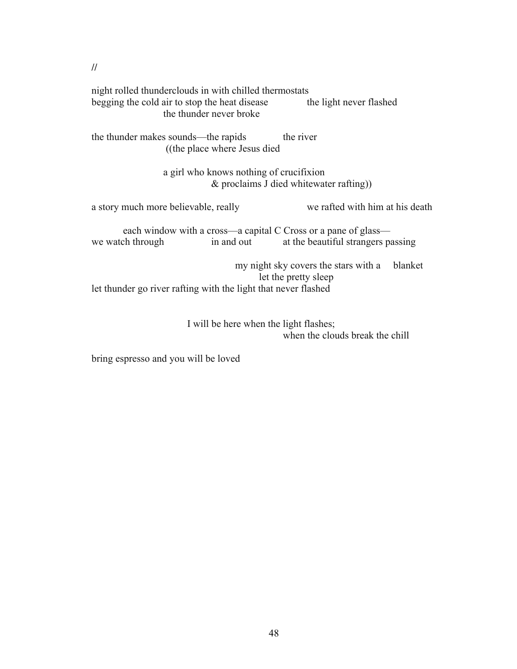| night rolled thunderclouds in with chilled thermostats<br>begging the cold air to stop the heat disease<br>the thunder never broke | the light never flashed                                                 |  |  |  |  |  |
|------------------------------------------------------------------------------------------------------------------------------------|-------------------------------------------------------------------------|--|--|--|--|--|
| the thunder makes sounds—the rapids<br>((the place where Jesus died)                                                               | the river                                                               |  |  |  |  |  |
| a girl who knows nothing of crucifixion<br>$\&$ proclaims J died whitewater rafting))                                              |                                                                         |  |  |  |  |  |
| a story much more believable, really                                                                                               | we rafted with him at his death                                         |  |  |  |  |  |
| each window with a cross—a capital C Cross or a pane of glass—<br>in and out<br>we watch through                                   | at the beautiful strangers passing                                      |  |  |  |  |  |
| let thunder go river rafting with the light that never flashed                                                                     | my night sky covers the stars with a<br>blanket<br>let the pretty sleep |  |  |  |  |  |

I will be here when the light flashes; when the clouds break the chill

bring espresso and you will be loved

**//**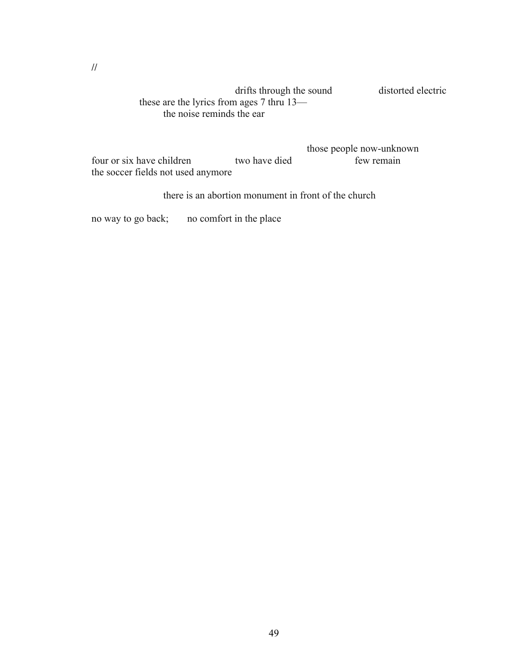#### drifts through the sound distorted electric these are the lyrics from ages 7 thru 13 the noise reminds the ear

|                                    |               | those people now-unknown |
|------------------------------------|---------------|--------------------------|
| four or six have children          | two have died | few remain               |
| the soccer fields not used anymore |               |                          |

there is an abortion monument in front of the church

no way to go back; no comfort in the place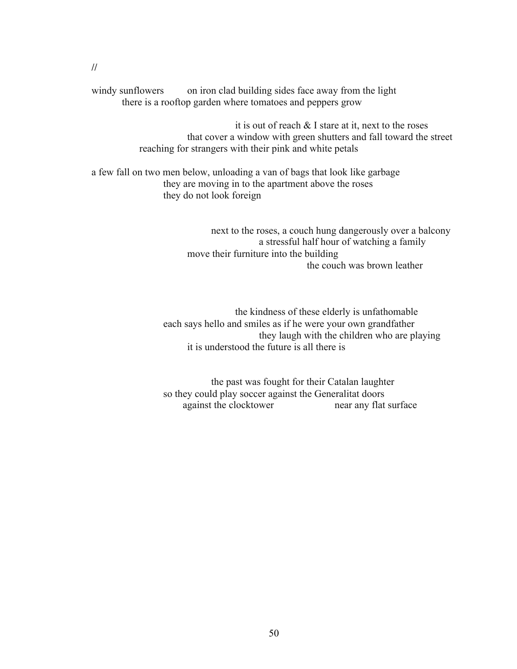windy sunflowers on iron clad building sides face away from the light there is a rooftop garden where tomatoes and peppers grow

> it is out of reach & I stare at it, next to the roses that cover a window with green shutters and fall toward the street reaching for strangers with their pink and white petals

a few fall on two men below, unloading a van of bags that look like garbage they are moving in to the apartment above the roses they do not look foreign

> next to the roses, a couch hung dangerously over a balcony a stressful half hour of watching a family move their furniture into the building the couch was brown leather

the kindness of these elderly is unfathomable each says hello and smiles as if he were your own grandfather they laugh with the children who are playing it is understood the future is all there is

the past was fought for their Catalan laughter so they could play soccer against the Generalitat doors against the clocktower near any flat surface

**//**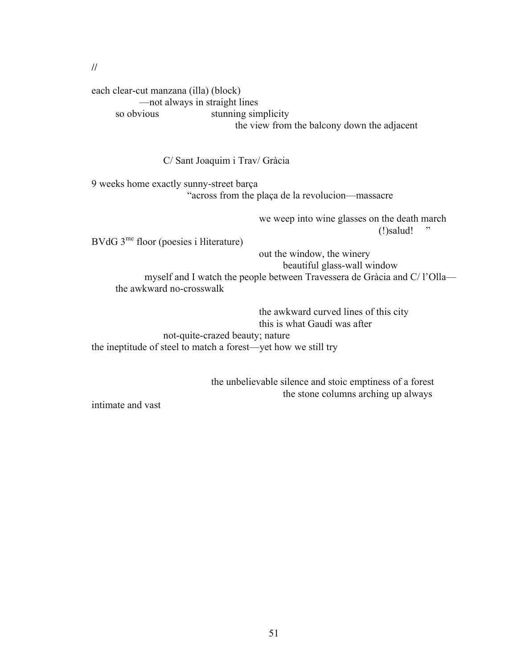#### **//**

each clear-cut manzana (illa) (block) —not always in straight lines so obvious stunning simplicity the view from the balcony down the adjacent

C/ Sant Joaquim i Trav/ Gràcia

9 weeks home exactly sunny-street barça "across from the plaça de la revolucion—massacre

> we weep into wine glasses on the death march  $\gamma$ !)salud! "

BVdG 3<sup>me</sup> floor (poesies i ŀliterature)

out the window, the winery

beautiful glass-wall window myself and I watch the people between Travessera de Gràcia and C/ l'Olla the awkward no-crosswalk

the awkward curved lines of this city this is what Gaudí was after not-quite-crazed beauty; nature the ineptitude of steel to match a forest—yet how we still try

> the unbelievable silence and stoic emptiness of a forest the stone columns arching up always

intimate and vast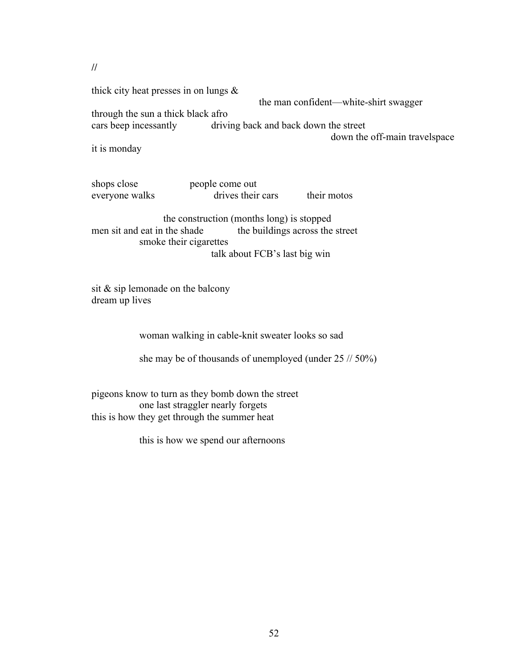**//**

thick city heat presses in on lungs &

the man confident—white-shirt swagger

through the sun a thick black afro cars beep incessantly driving back and back down the street

down the off-main travelspace

it is monday

shops close people come out everyone walks drives their cars their motos

the construction (months long) is stopped men sit and eat in the shade the buildings across the street smoke their cigarettes talk about FCB's last big win

sit & sip lemonade on the balcony dream up lives

woman walking in cable-knit sweater looks so sad

she may be of thousands of unemployed (under 25 // 50%)

pigeons know to turn as they bomb down the street one last straggler nearly forgets this is how they get through the summer heat

this is how we spend our afternoons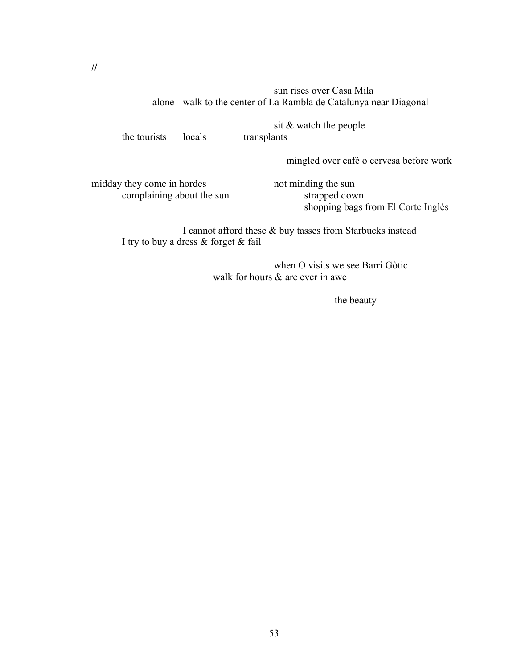#### sun rises over Casa Mila alone walk to the center of La Rambla de Catalunya near Diagonal

the tourists locals transplants

sit & watch the people

mingled over cafè o cervesa before work

midday they come in hordes not minding the sun complaining about the sun strapped down

shopping bags from El Corte Inglés

I cannot afford these & buy tasses from Starbucks instead I try to buy a dress & forget & fail

> when O visits we see Barri Gòtic walk for hours & are ever in awe

> > the beauty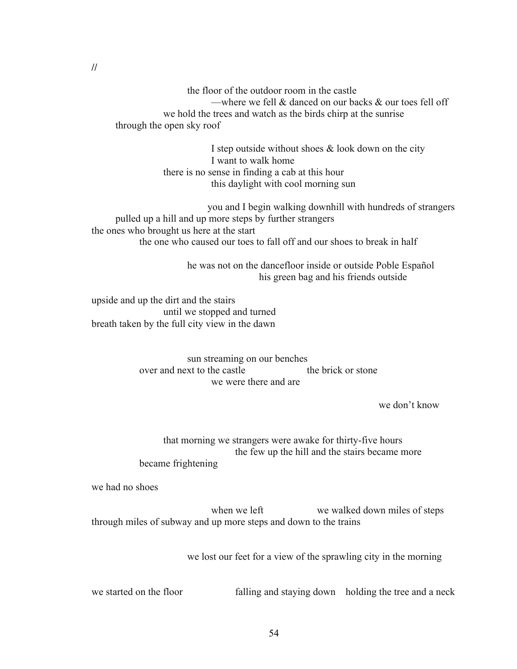the floor of the outdoor room in the castle —where we fell  $\&$  danced on our backs  $\&$  our toes fell off we hold the trees and watch as the birds chirp at the sunrise through the open sky roof

> I step outside without shoes  $\&$  look down on the city I want to walk home there is no sense in finding a cab at this hour this daylight with cool morning sun

 you and I begin walking downhill with hundreds of strangers pulled up a hill and up more steps by further strangers the ones who brought us here at the start the one who caused our toes to fall off and our shoes to break in half

> he was not on the dancefloor inside or outside Poble Español his green bag and his friends outside

upside and up the dirt and the stairs until we stopped and turned breath taken by the full city view in the dawn

> sun streaming on our benches over and next to the castle the brick or stone we were there and are

> > we don't know

that morning we strangers were awake for thirty-five hours the few up the hill and the stairs became more became frightening

we had no shoes

when we left we walked down miles of steps through miles of subway and up more steps and down to the trains

we lost our feet for a view of the sprawling city in the morning

we started on the floor falling and staying down holding the tree and a neck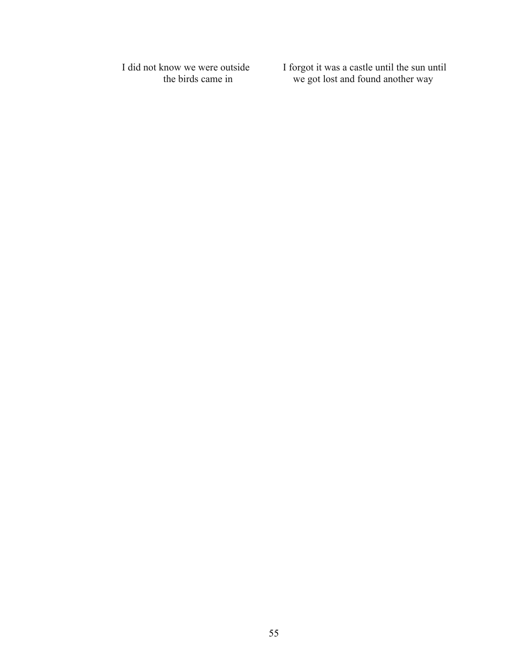I did not know we were outside I forgot it was a castle until the sun until the birds came in we got lost and found another way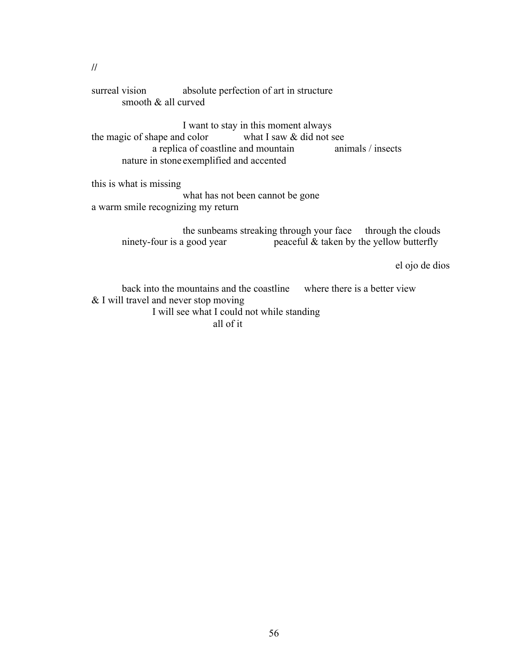surreal vision absolute perfection of art in structure smooth & all curved

I want to stay in this moment always the magic of shape and color what I saw & did not see a replica of coastline and mountain animals / insects nature in stone exemplified and accented

this is what is missing

what has not been cannot be gone a warm smile recognizing my return

> the sunbeams streaking through your face through the clouds ninety-four is a good year peaceful  $&$  taken by the yellow butterfly

> > el ojo de dios

back into the mountains and the coastline where there is a better view & I will travel and never stop moving I will see what I could not while standing all of it

**//**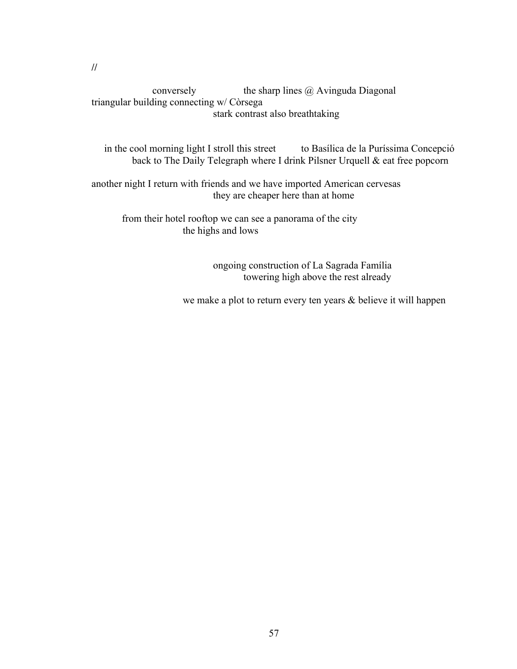conversely the sharp lines @ Avinguda Diagonal triangular building connecting w/ Còrsega stark contrast also breathtaking

in the cool morning light I stroll this street to Basílica de la Puríssima Concepció back to The Daily Telegraph where I drink Pilsner Urquell & eat free popcorn

another night I return with friends and we have imported American cervesas they are cheaper here than at home

from their hotel rooftop we can see a panorama of the city the highs and lows

> ongoing construction of La Sagrada Família towering high above the rest already

we make a plot to return every ten years & believe it will happen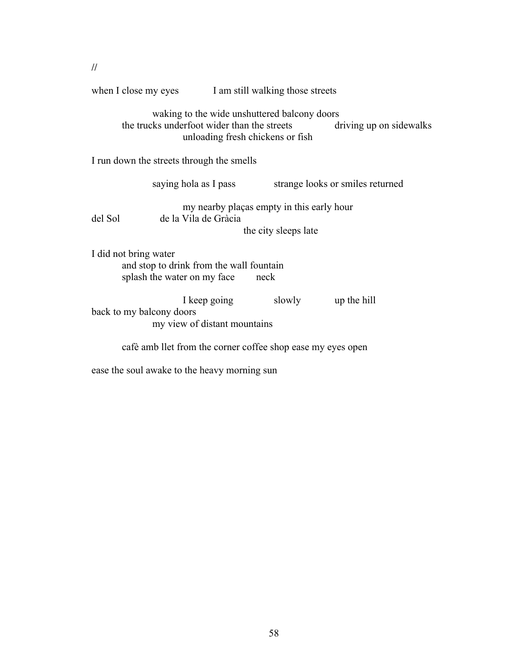|                                                                                                                                                            | when I close my eyes<br>I am still walking those streets |                                              |                                                            |  |  |  |
|------------------------------------------------------------------------------------------------------------------------------------------------------------|----------------------------------------------------------|----------------------------------------------|------------------------------------------------------------|--|--|--|
| waking to the wide unshuttered balcony doors<br>the trucks underfoot wider than the streets<br>driving up on sidewalks<br>unloading fresh chickens or fish |                                                          |                                              |                                                            |  |  |  |
| I run down the streets through the smells                                                                                                                  |                                                          |                                              |                                                            |  |  |  |
|                                                                                                                                                            |                                                          | saying hola as I pass                        | strange looks or smiles returned                           |  |  |  |
| my nearby plaças empty in this early hour<br>de la Vila de Gràcia<br>del Sol<br>the city sleeps late                                                       |                                                          |                                              |                                                            |  |  |  |
| I did not bring water<br>and stop to drink from the wall fountain<br>splash the water on my face<br>neck                                                   |                                                          |                                              |                                                            |  |  |  |
| back to my balcony doors                                                                                                                                   |                                                          | I keep going<br>my view of distant mountains | slowly up the hill                                         |  |  |  |
|                                                                                                                                                            |                                                          |                                              | café amb let from the corner coffee shop ease my eyes open |  |  |  |
|                                                                                                                                                            |                                                          |                                              |                                                            |  |  |  |

ease the soul awake to the heavy morning sun

**//**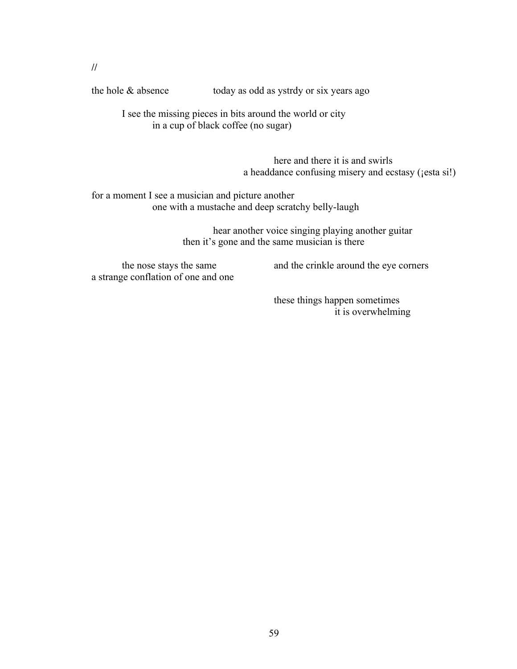**//**

the hole & absence today as odd as ystrdy or six years ago

I see the missing pieces in bits around the world or city in a cup of black coffee (no sugar)

> here and there it is and swirls a headdance confusing misery and ecstasy (¡esta si!)

for a moment I see a musician and picture another one with a mustache and deep scratchy belly-laugh

> hear another voice singing playing another guitar then it's gone and the same musician is there

a strange conflation of one and one

the nose stays the same and the crinkle around the eye corners

these things happen sometimes it is overwhelming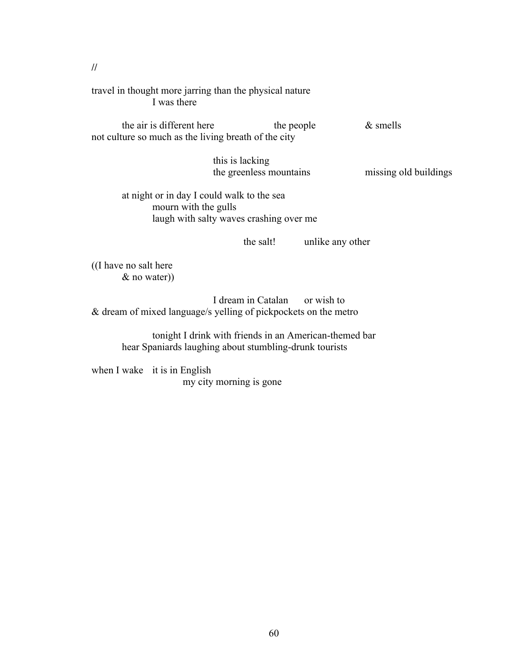travel in thought more jarring than the physical nature I was there

the air is different here the people  $\&$  smells not culture so much as the living breath of the city

> this is lacking the greenless mountains missing old buildings

at night or in day I could walk to the sea mourn with the gulls laugh with salty waves crashing over me

the salt! unlike any other

((I have no salt here & no water))

I dream in Catalan or wish to & dream of mixed language/s yelling of pickpockets on the metro

> tonight I drink with friends in an American-themed bar hear Spaniards laughing about stumbling-drunk tourists

when I wake it is in English my city morning is gone

**//**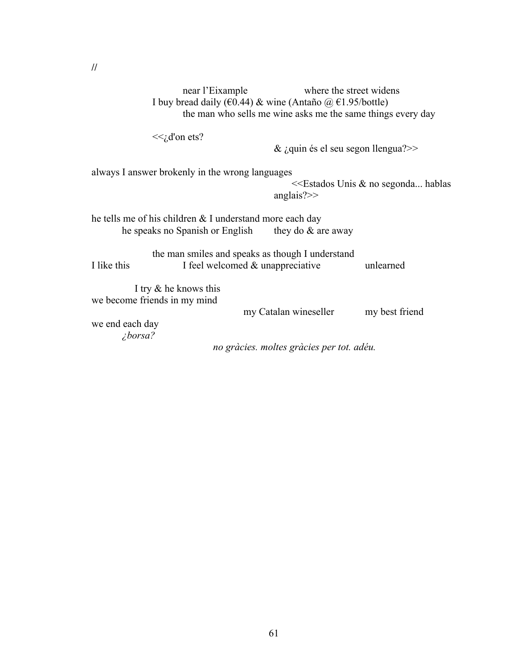near l'Eixample where the street widens I buy bread daily ( $\epsilon$ 0.44) & wine (Antaño @  $\epsilon$ 1.95/bottle) the man who sells me wine asks me the same things every day

 $<<$ <sub>i</sub>,d'on ets?

 $& \text{i,}$ quin és el seu segon llengua?>>

always I answer brokenly in the wrong languages

 <<Estados Unis & no segonda... hablas anglais?>>

he tells me of his children & I understand more each day he speaks no Spanish or English they do  $&$  are away

the man smiles and speaks as though I understand I like this I feel welcomed & unappreciative unlearned

 I try & he knows this we become friends in my mind

my Catalan wineseller my best friend

we end each day *¿borsa?*

*no gràcies. moltes gràcies per tot. adéu.*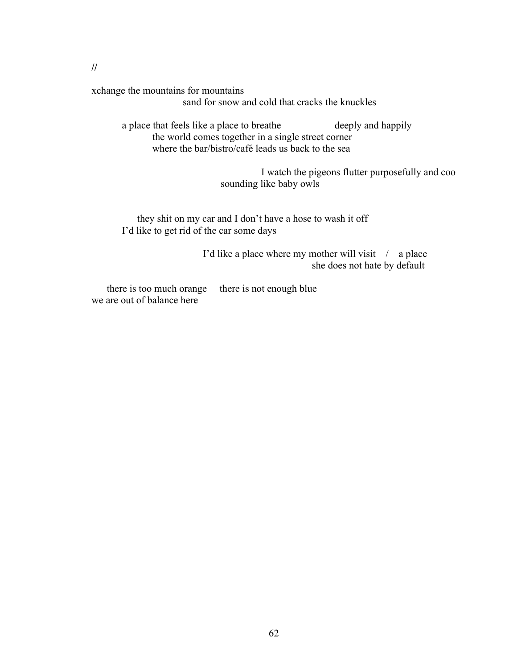**//**

xchange the mountains for mountains

sand for snow and cold that cracks the knuckles

a place that feels like a place to breathe deeply and happily the world comes together in a single street corner where the bar/bistro/café leads us back to the sea

> I watch the pigeons flutter purposefully and coo sounding like baby owls

 they shit on my car and I don't have a hose to wash it off I'd like to get rid of the car some days

> I'd like a place where my mother will visit / a place she does not hate by default

there is too much orange there is not enough blue we are out of balance here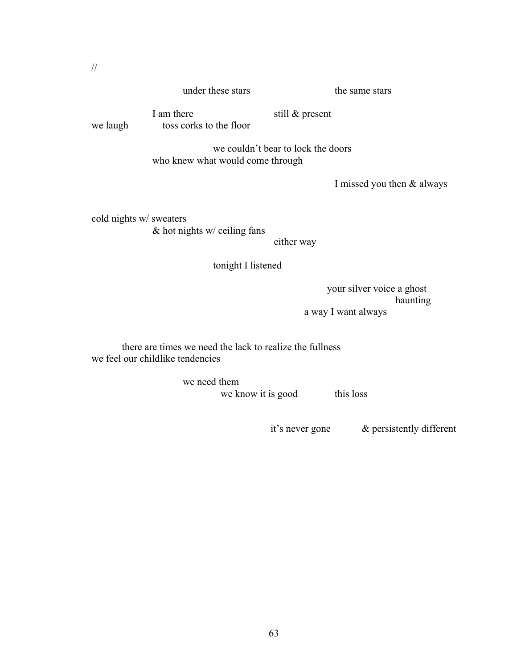#### under these stars the same stars

we laugh toss corks to the floor

I am there still & present

we couldn't bear to lock the doors who knew what would come through

I missed you then & always

cold nights w/ sweaters & hot nights w/ ceiling fans

either way

tonight I listened

 your silver voice a ghost haunting a way I want always

there are times we need the lack to realize the fullness we feel our childlike tendencies

> we need them we know it is good this loss

it's never gone & persistently different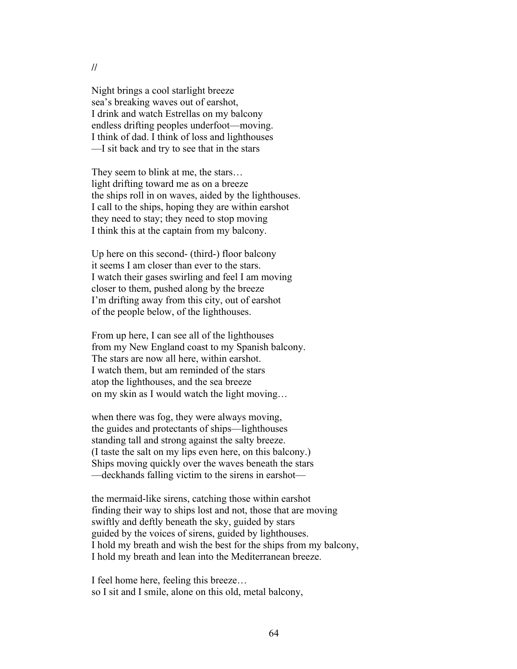**//**

Night brings a cool starlight breeze sea's breaking waves out of earshot, I drink and watch Estrellas on my balcony endless drifting peoples underfoot—moving. I think of dad. I think of loss and lighthouses —I sit back and try to see that in the stars

They seem to blink at me, the stars… light drifting toward me as on a breeze the ships roll in on waves, aided by the lighthouses. I call to the ships, hoping they are within earshot they need to stay; they need to stop moving I think this at the captain from my balcony.

Up here on this second- (third-) floor balcony it seems I am closer than ever to the stars. I watch their gases swirling and feel I am moving closer to them, pushed along by the breeze I'm drifting away from this city, out of earshot of the people below, of the lighthouses.

From up here, I can see all of the lighthouses from my New England coast to my Spanish balcony. The stars are now all here, within earshot. I watch them, but am reminded of the stars atop the lighthouses, and the sea breeze on my skin as I would watch the light moving…

when there was fog, they were always moving, the guides and protectants of ships—lighthouses standing tall and strong against the salty breeze. (I taste the salt on my lips even here, on this balcony.) Ships moving quickly over the waves beneath the stars —deckhands falling victim to the sirens in earshot—

the mermaid-like sirens, catching those within earshot finding their way to ships lost and not, those that are moving swiftly and deftly beneath the sky, guided by stars guided by the voices of sirens, guided by lighthouses. I hold my breath and wish the best for the ships from my balcony, I hold my breath and lean into the Mediterranean breeze.

I feel home here, feeling this breeze… so I sit and I smile, alone on this old, metal balcony,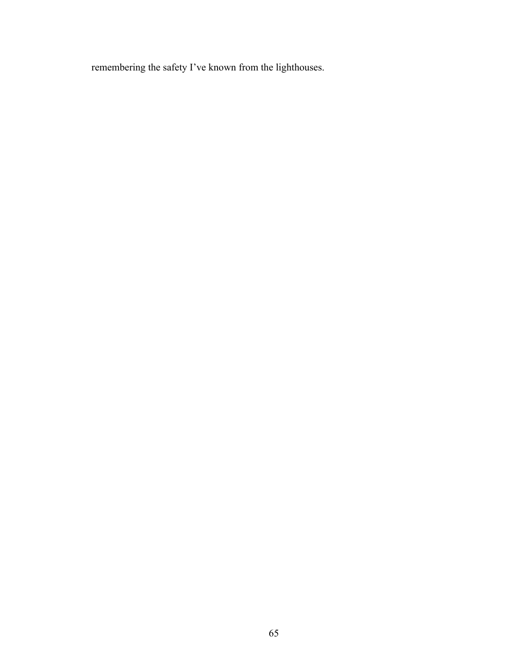remembering the safety I've known from the lighthouses.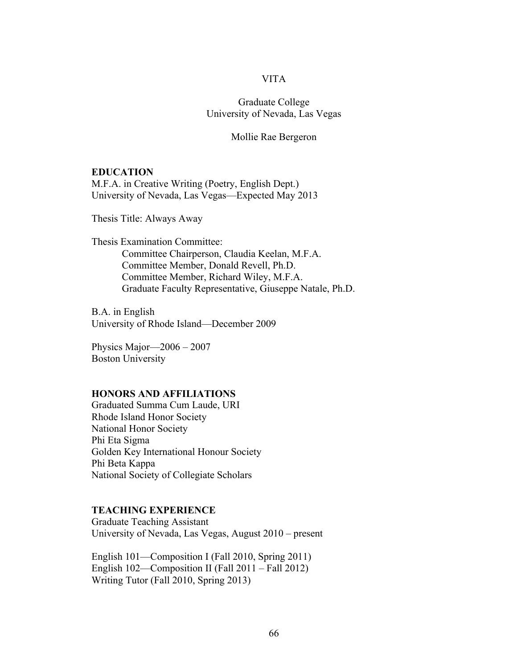# VITA

Graduate College University of Nevada, Las Vegas

Mollie Rae Bergeron

### **EDUCATION**

M.F.A. in Creative Writing (Poetry, English Dept.) University of Nevada, Las Vegas—Expected May 2013

Thesis Title: Always Away

Thesis Examination Committee: Committee Chairperson, Claudia Keelan, M.F.A. Committee Member, Donald Revell, Ph.D. Committee Member, Richard Wiley, M.F.A. Graduate Faculty Representative, Giuseppe Natale, Ph.D.

B.A. in English University of Rhode Island—December 2009

Physics Major—2006 – 2007 Boston University

#### **HONORS AND AFFILIATIONS**

Graduated Summa Cum Laude, URI Rhode Island Honor Society National Honor Society Phi Eta Sigma Golden Key International Honour Society Phi Beta Kappa National Society of Collegiate Scholars

### **TEACHING EXPERIENCE**

Graduate Teaching Assistant University of Nevada, Las Vegas, August 2010 – present

English 101—Composition I (Fall 2010, Spring 2011) English 102—Composition II (Fall 2011 – Fall 2012) Writing Tutor (Fall 2010, Spring 2013)